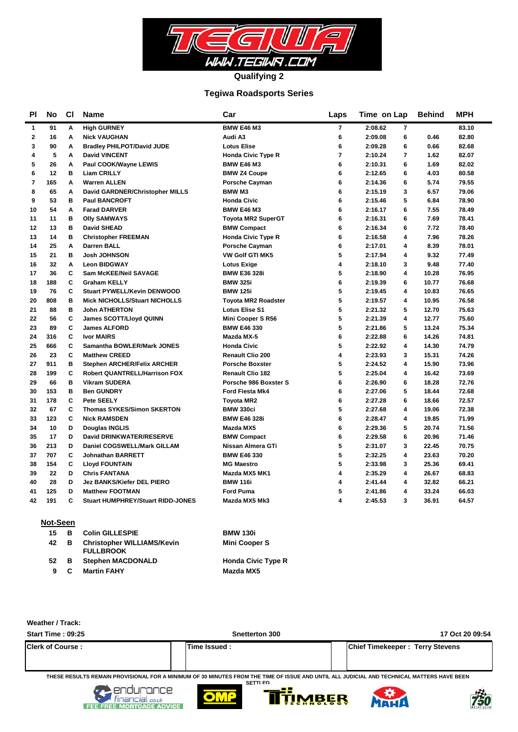

#### **Tegiwa Roadsports Series**

| ΡI      | No  | <b>CI</b> | <b>Name</b>                              | Car                        | Laps | Time on Lap               | <b>Behind</b> | <b>MPH</b> |
|---------|-----|-----------|------------------------------------------|----------------------------|------|---------------------------|---------------|------------|
| 1       | 91  | Α         | <b>High GURNEY</b>                       | <b>BMW E46 M3</b>          | 7    | 2:08.62<br>$\overline{7}$ |               | 83.10      |
| $\bf 2$ | 16  | A         | <b>Nick VAUGHAN</b>                      | Audi A3                    | 6    | 6<br>2:09.08              | 0.46          | 82.80      |
| 3       | 90  | A         | <b>Bradley PHILPOT/David JUDE</b>        | <b>Lotus Elise</b>         | 6    | 6<br>2:09.28              | 0.66          | 82.68      |
| 4       | 5   | Α         | <b>David VINCENT</b>                     | <b>Honda Civic Type R</b>  | 7    | 2:10.24<br>7              | 1.62          | 82.07      |
| 5       | 26  | A         | Paul COOK/Wayne LEWIS                    | <b>BMW E46 M3</b>          | 6    | 6<br>2:10.31              | 1.69          | 82.02      |
| 6       | 12  | в         | <b>Liam CRILLY</b>                       | <b>BMW Z4 Coupe</b>        | 6    | 6<br>2:12.65              | 4.03          | 80.58      |
| 7       | 165 | Α         | <b>Warren ALLEN</b>                      | <b>Porsche Cayman</b>      | 6    | 2:14.36<br>6              | 5.74          | 79.55      |
| 8       | 65  | A         | David GARDNER/Christopher MILLS          | <b>BMW M3</b>              | 6    | 3<br>2:15.19              | 6.57          | 79.06      |
| 9       | 53  | в         | <b>Paul BANCROFT</b>                     | <b>Honda Civic</b>         | 6    | 5<br>2:15.46              | 6.84          | 78.90      |
| 10      | 54  | A         | <b>Farad DARVER</b>                      | <b>BMW E46 M3</b>          | 6    | 2:16.17<br>6              | 7.55          | 78.49      |
| 11      | 11  | в         | <b>Olly SAMWAYS</b>                      | <b>Toyota MR2 SuperGT</b>  | 6    | 2:16.31<br>6              | 7.69          | 78.41      |
| 12      | 13  | в         | <b>David SHEAD</b>                       | <b>BMW Compact</b>         | 6    | 6<br>2:16.34              | 7.72          | 78.40      |
| 13      | 14  | в         | <b>Christopher FREEMAN</b>               | <b>Honda Civic Type R</b>  | 6    | 2:16.58<br>4              | 7.96          | 78.26      |
| 14      | 25  | A         | <b>Darren BALL</b>                       | <b>Porsche Cayman</b>      | 6    | 4<br>2:17.01              | 8.39          | 78.01      |
| 15      | 21  | в         | <b>Josh JOHNSON</b>                      | <b>VW Golf GTI MK5</b>     | 5    | 2:17.94<br>4              | 9.32          | 77.49      |
| 16      | 32  | Α         | <b>Leon BIDGWAY</b>                      | <b>Lotus Exige</b>         | 4    | 2:18.10<br>3              | 9.48          | 77.40      |
| 17      | 36  | C         | Sam McKEE/Neil SAVAGE                    | <b>BMW E36 328i</b>        | 5    | 4<br>2:18.90              | 10.28         | 76.95      |
| 18      | 188 | C         | <b>Graham KELLY</b>                      | <b>BMW 325i</b>            | 6    | 6<br>2:19.39              | 10.77         | 76.68      |
| 19      | 76  | C         | <b>Stuart PYWELL/Kevin DENWOOD</b>       | <b>BMW 125i</b>            | 5    | 2:19.45<br>4              | 10.83         | 76.65      |
| 20      | 808 | в         | <b>Mick NICHOLLS/Stuart NICHOLLS</b>     | <b>Toyota MR2 Roadster</b> | 5    | 2:19.57<br>4              | 10.95         | 76.58      |
| 21      | 88  | в         | <b>John ATHERTON</b>                     | <b>Lotus Elise S1</b>      | 5    | 5<br>2:21.32              | 12.70         | 75.63      |
| 22      | 56  | C         | <b>James SCOTT/Lloyd QUINN</b>           | Mini Cooper S R56          | 5    | 2:21.39<br>4              | 12.77         | 75.60      |
| 23      | 89  | C         | <b>James ALFORD</b>                      | <b>BMW E46 330</b>         | 5    | 5<br>2:21.86              | 13.24         | 75.34      |
| 24      | 316 | C         | <b>Ivor MAIRS</b>                        | Mazda MX-5                 | 6    | 6<br>2:22.88              | 14.26         | 74.81      |
| 25      | 666 | C         | Samantha BOWLER/Mark JONES               | <b>Honda Civic</b>         | 5    | 2:22.92<br>4              | 14.30         | 74.79      |
| 26      | 23  | C         | <b>Matthew CREED</b>                     | Renault Clio 200           | 4    | 3<br>2:23.93              | 15.31         | 74.26      |
| 27      | 911 | в         | <b>Stephen ARCHER/Felix ARCHER</b>       | <b>Porsche Boxster</b>     | 5    | 2:24.52<br>4              | 15.90         | 73.96      |
| 28      | 199 | C         | <b>Robert QUANTRELL/Harrison FOX</b>     | <b>Renault Clio 182</b>    | 5    | 2:25.04<br>4              | 16.42         | 73.69      |
| 29      | 66  | B         | <b>Vikram SUDERA</b>                     | Porsche 986 Boxster S      | 6    | 2:26.90<br>6              | 18.28         | 72.76      |
| 30      | 153 | в         | <b>Ben GUNDRY</b>                        | <b>Ford Fiesta Mk4</b>     | 6    | 5<br>2:27.06              | 18.44         | 72.68      |
| 31      | 178 | C         | <b>Pete SEELY</b>                        | <b>Toyota MR2</b>          | 6    | 2:27.28<br>6              | 18.66         | 72.57      |
| 32      | 67  | C         | <b>Thomas SYKES/Simon SKERTON</b>        | <b>BMW 330ci</b>           | 5    | 4<br>2:27.68              | 19.06         | 72.38      |
| 33      | 123 | C         | <b>Nick RAMSDEN</b>                      | <b>BMW E46 328i</b>        | 6    | 2:28.47<br>4              | 19.85         | 71.99      |
| 34      | 10  | D         | Douglas INGLIS                           | Mazda MX5                  | 6    | 5<br>2:29.36              | 20.74         | 71.56      |
| 35      | 17  | D         | David DRINKWATER/RESERVE                 | <b>BMW Compact</b>         | 6    | 6<br>2:29.58              | 20.96         | 71.46      |
| 36      | 213 | D         | Daniel COGSWELL/Mark GILLAM              | Nissan Almera GTi          | 5    | 3<br>2:31.07              | 22.45         | 70.75      |
| 37      | 707 | C         | <b>Johnathan BARRETT</b>                 | <b>BMW E46 330</b>         | 5    | 2:32.25<br>4              | 23.63         | 70.20      |
| 38      | 154 | C         | <b>Lloyd FOUNTAIN</b>                    | <b>MG Maestro</b>          | 5    | 2:33.98<br>3              | 25.36         | 69.41      |
| 39      | 22  | D         | <b>Chris FANTANA</b>                     | Mazda MX5 MK1              | 4    | 2:35.29<br>4              | 26.67         | 68.83      |
| 40      | 28  | D         | <b>Jez BANKS/Kiefer DEL PIERO</b>        | <b>BMW 116i</b>            | 4    | 2:41.44<br>4              | 32.82         | 66.21      |
| 41      | 125 | D         | <b>Matthew FOOTMAN</b>                   | <b>Ford Puma</b>           | 5    | 4<br>2:41.86              | 33.24         | 66.03      |
| 42      | 191 | C         | <b>Stuart HUMPHREY/Stuart RIDD-JONES</b> | Mazda MX5 Mk3              | 4    | 3<br>2:45.53              | 36.91         | 64.57      |
|         |     |           |                                          |                            |      |                           |               |            |

#### **Not-Seen**

| 15 | в   | <b>Colin GILLESPIE</b>                                | <b>BMW 130i</b>           |
|----|-----|-------------------------------------------------------|---------------------------|
| 42 | в   | <b>Christopher WILLIAMS/Kevin</b><br><b>FULLBROOK</b> | <b>Mini Cooper S</b>      |
| 52 | - В | <b>Stephen MACDONALD</b>                              | <b>Honda Civic Type R</b> |
| 9  | C   | <b>Martin FAHY</b>                                    | Mazda MX5                 |

#### **Weather / Track:**

| Start Time: 09:25       | Snetterton 300                                                                                                                                               | 17 Oct 20 09:54                        |
|-------------------------|--------------------------------------------------------------------------------------------------------------------------------------------------------------|----------------------------------------|
| <b>Clerk of Course:</b> | Time Issued :                                                                                                                                                | <b>Chief Timekeeper: Terry Stevens</b> |
|                         | THESE RESULTS REMAIN PROVISIONAL FOR A MINIMUM OF 30 MINUTES FROM THE TIME OF ISSUE AND UNTIL ALL JUDICIAL AND TECHNICAL MATTERS HAVE BEEN<br><b>CETTLED</b> |                                        |









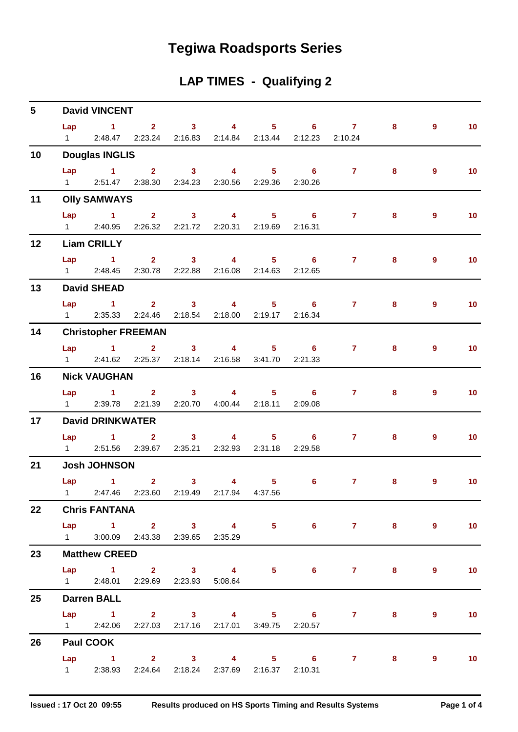# **Tegiwa Roadsports Series**

## **LAP TIMES - Qualifying 2**

| $5\phantom{.0}$ |                        | <b>David VINCENT</b>                              |  |                                                      |                                                               |                       |   |                |                 |
|-----------------|------------------------|---------------------------------------------------|--|------------------------------------------------------|---------------------------------------------------------------|-----------------------|---|----------------|-----------------|
|                 |                        |                                                   |  |                                                      |                                                               | Lap 1 2 3 4 5 6 7 8   |   | 9              | 10              |
|                 | $1 \quad \Box$         |                                                   |  |                                                      | 2:48.47  2:23.24  2:16.83  2:14.84  2:13.44  2:12.23  2:10.24 |                       |   |                |                 |
| 10              |                        | <b>Douglas INGLIS</b>                             |  |                                                      |                                                               |                       |   |                |                 |
|                 | Lap                    |                                                   |  |                                                      |                                                               | 1 2 3 4 5 6 7         | 8 | 9              | 10 <sub>1</sub> |
|                 |                        | 1 2:51.47 2:38.30 2:34.23 2:30.56 2:29.36 2:30.26 |  |                                                      |                                                               |                       |   |                |                 |
| 11              |                        | <b>Olly SAMWAYS</b>                               |  |                                                      |                                                               |                       |   |                |                 |
|                 |                        | Lap 1 2 3 4 5 6                                   |  |                                                      |                                                               | $7 \pm 1$             | 8 | 9              | 10              |
|                 |                        | 1 2:40.95 2:26.32 2:21.72 2:20.31 2:19.69 2:16.31 |  |                                                      |                                                               |                       |   |                |                 |
| 12              |                        | <b>Liam CRILLY</b>                                |  |                                                      |                                                               |                       |   |                |                 |
|                 | Lap                    |                                                   |  |                                                      |                                                               | 1 2 3 4 5 6 7 8       |   | 9              | 10              |
|                 |                        | 1 2:48.45 2:30.78 2:22.88 2:16.08 2:14.63 2:12.65 |  |                                                      |                                                               |                       |   |                |                 |
| 13              |                        | <b>David SHEAD</b>                                |  |                                                      |                                                               |                       |   |                |                 |
|                 |                        |                                                   |  |                                                      |                                                               | Lap 1 2 3 4 5 6 7     | 8 | $\overline{9}$ | 10              |
|                 | $1 \quad \blacksquare$ |                                                   |  | 2:35.33  2:24.46  2:18.54  2:18.00  2:19.17  2:16.34 |                                                               |                       |   |                |                 |
| 14              |                        | <b>Christopher FREEMAN</b>                        |  |                                                      |                                                               |                       |   |                |                 |
|                 |                        |                                                   |  |                                                      |                                                               | Lap 1 2 3 4 5 6 7 8   |   | 9              | 10 <sub>1</sub> |
|                 |                        | 1 2:41.62 2:25.37 2:18.14 2:16.58 3:41.70 2:21.33 |  |                                                      |                                                               |                       |   |                |                 |
| 16              |                        | <b>Nick VAUGHAN</b>                               |  |                                                      |                                                               |                       |   |                |                 |
|                 |                        | Lap 1 2 3 4 5 6                                   |  |                                                      |                                                               | $7 \pm 1$             | 8 | 9              | 10              |
|                 | $1 \quad \Box$         |                                                   |  | 2:39.78 2:21.39 2:20.70 4:00.44 2:18.11 2:09.08      |                                                               |                       |   |                |                 |
| 17              |                        | <b>David DRINKWATER</b>                           |  |                                                      |                                                               |                       |   |                |                 |
|                 |                        | Lap 1 2 3 4 5 6                                   |  |                                                      |                                                               | $\mathbf{7}$          | 8 | 9              | 10              |
|                 |                        | 1 2:51.56 2:39.67 2:35.21 2:32.93 2:31.18 2:29.58 |  |                                                      |                                                               |                       |   |                |                 |
| 21              |                        | <b>Josh JOHNSON</b>                               |  |                                                      |                                                               |                       |   |                |                 |
|                 |                        |                                                   |  |                                                      |                                                               | Lap 1 2 3 4 5 6 7 8   |   | 9              | 10              |
|                 |                        | 1 2:47.46 2:23.60 2:19.49 2:17.94 4:37.56         |  |                                                      |                                                               |                       |   |                |                 |
| 22              |                        | <b>Chris FANTANA</b>                              |  |                                                      |                                                               |                       |   |                |                 |
|                 |                        |                                                   |  |                                                      |                                                               | Lap 1 2 3 4 5 6 7 8 9 |   |                | 10              |
|                 |                        | 1 3:00.09 2:43.38 2:39.65 2:35.29                 |  |                                                      |                                                               |                       |   |                |                 |
| 23              |                        | <b>Matthew CREED</b>                              |  |                                                      |                                                               |                       |   |                |                 |
|                 |                        |                                                   |  |                                                      |                                                               | Lap 1 2 3 4 5 6 7 8 9 |   |                | 10              |
|                 |                        | 1 2:48.01 2:29.69 2:23.93 5:08.64                 |  |                                                      |                                                               |                       |   |                |                 |
| 25              |                        | <b>Darren BALL</b>                                |  |                                                      |                                                               |                       |   |                |                 |
|                 |                        |                                                   |  |                                                      |                                                               | Lap 1 2 3 4 5 6 7 8   |   | 9              | 10              |
|                 |                        | 1 2:42.06 2:27.03 2:17.16 2:17.01 3:49.75 2:20.57 |  |                                                      |                                                               |                       |   |                |                 |
| 26              |                        | Paul COOK                                         |  |                                                      |                                                               |                       |   |                |                 |
|                 |                        |                                                   |  |                                                      |                                                               | Lap 1 2 3 4 5 6 7 8 9 |   |                | $\overline{10}$ |
|                 |                        | 1 2:38.93 2:24.64 2:18.24 2:37.69 2:16.37 2:10.31 |  |                                                      |                                                               |                       |   |                |                 |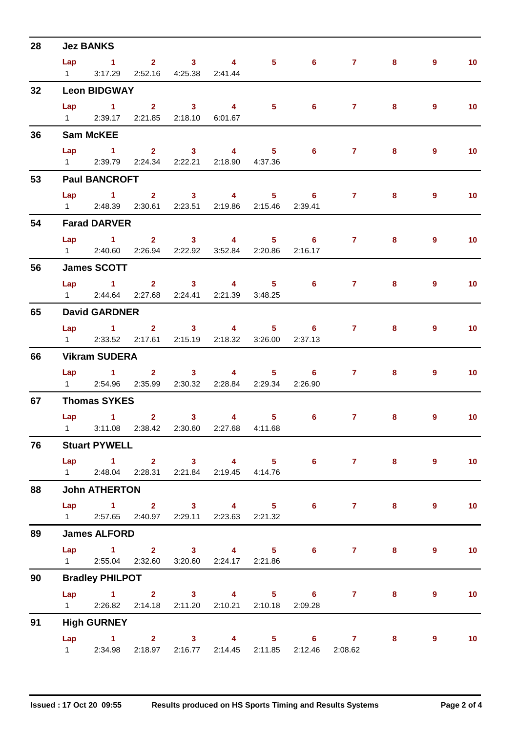| 28 |     | <b>Jez BANKS</b>                                          |  |  |                                                           |         |                |                   |
|----|-----|-----------------------------------------------------------|--|--|-----------------------------------------------------------|---------|----------------|-------------------|
|    |     |                                                           |  |  | Lap 1 2 3 4 5 6 7 8                                       |         | $\overline{9}$ | $-10$             |
|    |     | 1 3:17.29 2:52.16 4:25.38 2:41.44                         |  |  |                                                           |         |                |                   |
| 32 |     | <b>Leon BIDGWAY</b>                                       |  |  |                                                           |         |                |                   |
|    |     |                                                           |  |  | Lap 1 2 3 4 5 6 7 8                                       |         | $\overline{9}$ | 10                |
|    |     | 1 2:39.17 2:21.85 2:18.10 6:01.67                         |  |  |                                                           |         |                |                   |
| 36 |     | <b>Sam McKEE</b>                                          |  |  |                                                           |         |                |                   |
|    | Lap |                                                           |  |  | $1 \qquad 2 \qquad 3 \qquad 4 \qquad 5 \qquad 6 \qquad 7$ | 8       | $\overline{9}$ | 10                |
|    |     | 1 2:39.79 2:24.34 2:22.21 2:18.90 4:37.36                 |  |  |                                                           |         |                |                   |
| 53 |     | <b>Paul BANCROFT</b>                                      |  |  |                                                           |         |                |                   |
|    |     |                                                           |  |  | Lap 1 2 3 4 5 6 7 8                                       |         | $\overline{9}$ | 10                |
|    |     | 1 2:48.39 2:30.61 2:23.51 2:19.86 2:15.46 2:39.41         |  |  |                                                           |         |                |                   |
| 54 |     | <b>Farad DARVER</b>                                       |  |  |                                                           |         |                |                   |
|    |     |                                                           |  |  | Lap 1 2 3 4 5 6 7                                         | 8       | $\overline{9}$ | 10                |
|    |     | 1 2:40.60 2:26.94 2:22.92 3:52.84 2:20.86 2:16.17         |  |  |                                                           |         |                |                   |
| 56 |     | <b>James SCOTT</b>                                        |  |  |                                                           |         |                |                   |
|    |     |                                                           |  |  | Lap 1 2 3 4 5 6 7 8                                       |         | $\overline{9}$ | 10                |
|    |     | 1 2:44.64 2:27.68 2:24.41 2:21.39 3:48.25                 |  |  |                                                           |         |                |                   |
| 65 |     | <b>David GARDNER</b>                                      |  |  |                                                           |         |                |                   |
|    |     |                                                           |  |  | Lap 1 2 3 4 5 6 7                                         | 8       | $\overline{9}$ | 10                |
|    |     | 1 2:33.52 2:17.61 2:15.19 2:18.32 3:26.00 2:37.13         |  |  |                                                           |         |                |                   |
| 66 |     | <b>Vikram SUDERA</b>                                      |  |  |                                                           |         |                |                   |
|    |     |                                                           |  |  | Lap 1 2 3 4 5 6 7 8                                       |         | 9              | 10                |
|    |     | 1 2:54.96 2:35.99 2:30.32 2:28.84 2:29.34 2:26.90         |  |  |                                                           |         |                |                   |
| 67 |     | <b>Thomas SYKES</b>                                       |  |  |                                                           |         |                |                   |
|    |     |                                                           |  |  | Lap 1 2 3 4 5 6 7                                         | 8       | 9              | 10                |
|    |     | 1 3:11.08 2:38.42 2:30.60 2:27.68 4:11.68                 |  |  |                                                           |         |                |                   |
| 76 |     | <b>Stuart PYWELL</b>                                      |  |  |                                                           |         |                |                   |
|    |     |                                                           |  |  | Lap 1 2 3 4 5 6 7 8                                       |         | $9^{\circ}$    | $\blacksquare$ 10 |
|    |     | 1 2:48.04 2:28.31 2:21.84 2:19.45 4:14.76                 |  |  |                                                           |         |                |                   |
| 88 |     | <b>John ATHERTON</b>                                      |  |  |                                                           |         |                |                   |
|    |     |                                                           |  |  | Lap 1 2 3 4 5 6 7 8                                       |         | $9^{\circ}$    | $\blacksquare$ 10 |
|    |     | 1 2:57.65 2:40.97 2:29.11 2:23.63 2:21.32                 |  |  |                                                           |         |                |                   |
| 89 |     | <b>James ALFORD</b>                                       |  |  |                                                           |         |                |                   |
|    |     |                                                           |  |  | Lap 1 2 3 4 5 6 7 8 9                                     |         |                | 10                |
|    |     | 1 2:55.04 2:32.60 3:20.60 2:24.17 2:21.86                 |  |  |                                                           |         |                |                   |
| 90 |     | <b>Bradley PHILPOT</b>                                    |  |  |                                                           |         |                |                   |
|    |     |                                                           |  |  | Lap 1 2 3 4 5 6 7 8                                       |         | $9^{\circ}$    | 10                |
|    |     | 1 2:26.82 2:14.18 2:11.20 2:10.21 2:10.18 2:09.28         |  |  |                                                           |         |                |                   |
| 91 |     | <b>High GURNEY</b>                                        |  |  |                                                           |         |                |                   |
|    |     |                                                           |  |  | Lap 1 2 3 4 5 6 7                                         | $8 - 1$ | $9^{\circ}$    | $\blacksquare$ 10 |
|    |     | 1 2:34.98 2:18.97 2:16.77 2:14.45 2:11.85 2:12.46 2:08.62 |  |  |                                                           |         |                |                   |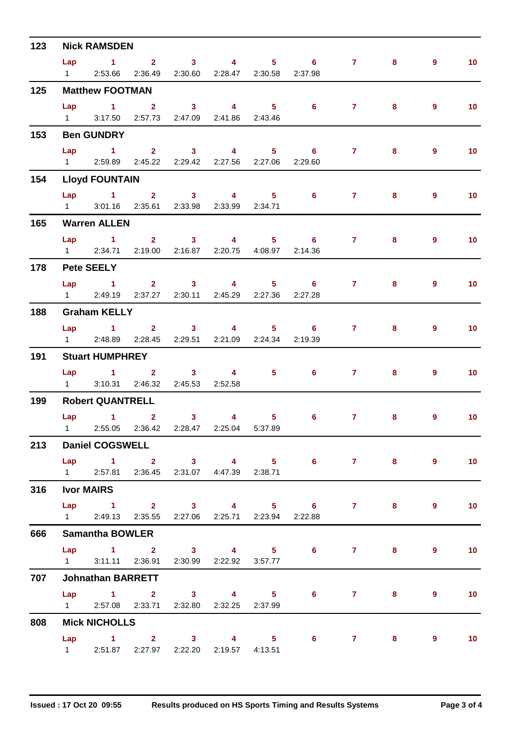| 123 | <b>Nick RAMSDEN</b>    |                                                   |                                                 |  |  |  |                     |                                                                                                                                                                                                                                                                                                                                    |         |                |                   |  |  |
|-----|------------------------|---------------------------------------------------|-------------------------------------------------|--|--|--|---------------------|------------------------------------------------------------------------------------------------------------------------------------------------------------------------------------------------------------------------------------------------------------------------------------------------------------------------------------|---------|----------------|-------------------|--|--|
|     |                        |                                                   |                                                 |  |  |  | Lap 1 2 3 4 5 6 7   |                                                                                                                                                                                                                                                                                                                                    | 8       | $\overline{9}$ | 10                |  |  |
|     | $1 \qquad \qquad$      |                                                   | 2:53.66 2:36.49 2:30.60 2:28.47 2:30.58 2:37.98 |  |  |  |                     |                                                                                                                                                                                                                                                                                                                                    |         |                |                   |  |  |
| 125 |                        | <b>Matthew FOOTMAN</b>                            |                                                 |  |  |  |                     |                                                                                                                                                                                                                                                                                                                                    |         |                |                   |  |  |
|     |                        |                                                   |                                                 |  |  |  | Lap 1 2 3 4 5 6 7 8 |                                                                                                                                                                                                                                                                                                                                    |         | $9^{\circ}$    | 10                |  |  |
|     | $1 \quad \blacksquare$ |                                                   | 3:17.50  2:57.73  2:47.09  2:41.86  2:43.46     |  |  |  |                     |                                                                                                                                                                                                                                                                                                                                    |         |                |                   |  |  |
| 153 |                        | <b>Ben GUNDRY</b>                                 |                                                 |  |  |  |                     |                                                                                                                                                                                                                                                                                                                                    |         |                |                   |  |  |
|     | Lap                    | $\sim$ 1                                          | 2 3 4 5 6                                       |  |  |  |                     | $\overline{7}$ and $\overline{7}$ and $\overline{7}$ and $\overline{7}$ and $\overline{7}$ and $\overline{7}$ and $\overline{7}$ and $\overline{7}$ and $\overline{7}$ and $\overline{7}$ and $\overline{7}$ and $\overline{7}$ and $\overline{7}$ and $\overline{7}$ and $\overline{7}$ and $\overline{7}$ and $\overline{7}$ and | 8       | $\overline{9}$ | 10                |  |  |
|     |                        | 1 2:59.89 2:45.22 2:29.42 2:27.56 2:27.06 2:29.60 |                                                 |  |  |  |                     |                                                                                                                                                                                                                                                                                                                                    |         |                |                   |  |  |
| 154 |                        | <b>Lloyd FOUNTAIN</b>                             |                                                 |  |  |  |                     |                                                                                                                                                                                                                                                                                                                                    |         |                |                   |  |  |
|     |                        |                                                   |                                                 |  |  |  | Lap 1 2 3 4 5 6 7   |                                                                                                                                                                                                                                                                                                                                    | 8       | $9^{\circ}$    | 10                |  |  |
|     |                        | 1 3:01.16 2:35.61 2:33.98 2:33.99 2:34.71         |                                                 |  |  |  |                     |                                                                                                                                                                                                                                                                                                                                    |         |                |                   |  |  |
| 165 |                        | <b>Warren ALLEN</b>                               |                                                 |  |  |  |                     |                                                                                                                                                                                                                                                                                                                                    |         |                |                   |  |  |
|     |                        |                                                   |                                                 |  |  |  | Lap 1 2 3 4 5 6 7   |                                                                                                                                                                                                                                                                                                                                    | 8       | $\overline{9}$ | 10                |  |  |
|     |                        | 1 2:34.71 2:19.00 2:16.87 2:20.75 4:08.97 2:14.36 |                                                 |  |  |  |                     |                                                                                                                                                                                                                                                                                                                                    |         |                |                   |  |  |
| 178 |                        | <b>Pete SEELY</b>                                 |                                                 |  |  |  |                     |                                                                                                                                                                                                                                                                                                                                    |         |                |                   |  |  |
|     |                        |                                                   |                                                 |  |  |  | Lap 1 2 3 4 5 6 7 8 |                                                                                                                                                                                                                                                                                                                                    |         | $9^{\circ}$    | 10                |  |  |
|     |                        | 1 2:49.19 2:37.27 2:30.11 2:45.29 2:27.36         |                                                 |  |  |  | 2:27.28             |                                                                                                                                                                                                                                                                                                                                    |         |                |                   |  |  |
| 188 |                        | <b>Graham KELLY</b>                               |                                                 |  |  |  |                     |                                                                                                                                                                                                                                                                                                                                    |         |                |                   |  |  |
|     |                        | Lap 1 2 3 4 5 6                                   |                                                 |  |  |  |                     | $\overline{7}$                                                                                                                                                                                                                                                                                                                     | 8       | 9              | 10                |  |  |
|     |                        | 1 2:48.89 2:28.45 2:29.51 2:21.09 2:24.34 2:19.39 |                                                 |  |  |  |                     |                                                                                                                                                                                                                                                                                                                                    |         |                |                   |  |  |
| 191 |                        | <b>Stuart HUMPHREY</b>                            |                                                 |  |  |  |                     |                                                                                                                                                                                                                                                                                                                                    |         |                |                   |  |  |
|     |                        |                                                   |                                                 |  |  |  | Lap 1 2 3 4 5 6 7   |                                                                                                                                                                                                                                                                                                                                    |         | $9^{\circ}$    | 10                |  |  |
|     |                        | 1 3:10.31 2:46.32 2:45.53 2:52.58                 |                                                 |  |  |  |                     |                                                                                                                                                                                                                                                                                                                                    |         |                |                   |  |  |
| 199 |                        | <b>Robert QUANTRELL</b>                           |                                                 |  |  |  |                     |                                                                                                                                                                                                                                                                                                                                    |         |                |                   |  |  |
|     |                        | Lap 1 2 3                                         |                                                 |  |  |  | 4 5 6 7             |                                                                                                                                                                                                                                                                                                                                    | 8       | 9              | 10 <sub>1</sub>   |  |  |
|     |                        | 1 2:55.05 2:36.42 2:28.47 2:25.04 5:37.89         |                                                 |  |  |  |                     |                                                                                                                                                                                                                                                                                                                                    |         |                |                   |  |  |
| 213 |                        | <b>Daniel COGSWELL</b>                            |                                                 |  |  |  |                     |                                                                                                                                                                                                                                                                                                                                    |         |                |                   |  |  |
|     |                        |                                                   |                                                 |  |  |  | Lap 1 2 3 4 5 6 7 8 |                                                                                                                                                                                                                                                                                                                                    |         | $9^{\circ}$    | $\sim$ 10         |  |  |
|     |                        | 1 2:57.81 2:36.45 2:31.07 4:47.39 2:38.71         |                                                 |  |  |  |                     |                                                                                                                                                                                                                                                                                                                                    |         |                |                   |  |  |
| 316 |                        | <b>Ivor MAIRS</b>                                 |                                                 |  |  |  |                     |                                                                                                                                                                                                                                                                                                                                    |         |                |                   |  |  |
|     |                        |                                                   |                                                 |  |  |  | Lap 1 2 3 4 5 6 7 8 |                                                                                                                                                                                                                                                                                                                                    |         | $9^{\circ}$    | $\blacksquare$ 10 |  |  |
|     |                        | 1 2:49.13 2:35.55 2:27.06 2:25.71 2:23.94 2:22.88 |                                                 |  |  |  |                     |                                                                                                                                                                                                                                                                                                                                    |         |                |                   |  |  |
| 666 |                        | <b>Samantha BOWLER</b>                            |                                                 |  |  |  |                     |                                                                                                                                                                                                                                                                                                                                    |         |                |                   |  |  |
|     |                        |                                                   |                                                 |  |  |  | Lap 1 2 3 4 5 6 7 8 |                                                                                                                                                                                                                                                                                                                                    |         | $9^{\circ}$    | 10                |  |  |
|     |                        | 1 3:11.11 2:36.91 2:30.99 2:22.92 3:57.77         |                                                 |  |  |  |                     |                                                                                                                                                                                                                                                                                                                                    |         |                |                   |  |  |
| 707 |                        | <b>Johnathan BARRETT</b>                          |                                                 |  |  |  |                     |                                                                                                                                                                                                                                                                                                                                    |         |                |                   |  |  |
|     |                        |                                                   |                                                 |  |  |  | Lap 1 2 3 4 5 6 7 8 |                                                                                                                                                                                                                                                                                                                                    |         | 9              | $\blacksquare$ 10 |  |  |
|     |                        | 1 2:57.08 2:33.71 2:32.80 2:32.25 2:37.99         |                                                 |  |  |  |                     |                                                                                                                                                                                                                                                                                                                                    |         |                |                   |  |  |
|     |                        |                                                   |                                                 |  |  |  |                     |                                                                                                                                                                                                                                                                                                                                    |         |                |                   |  |  |
|     |                        |                                                   |                                                 |  |  |  |                     |                                                                                                                                                                                                                                                                                                                                    |         |                |                   |  |  |
| 808 |                        | <b>Mick NICHOLLS</b><br>Lap 1 2 3 4 5             |                                                 |  |  |  |                     |                                                                                                                                                                                                                                                                                                                                    | 6 7 8 9 |                | $\blacksquare$ 10 |  |  |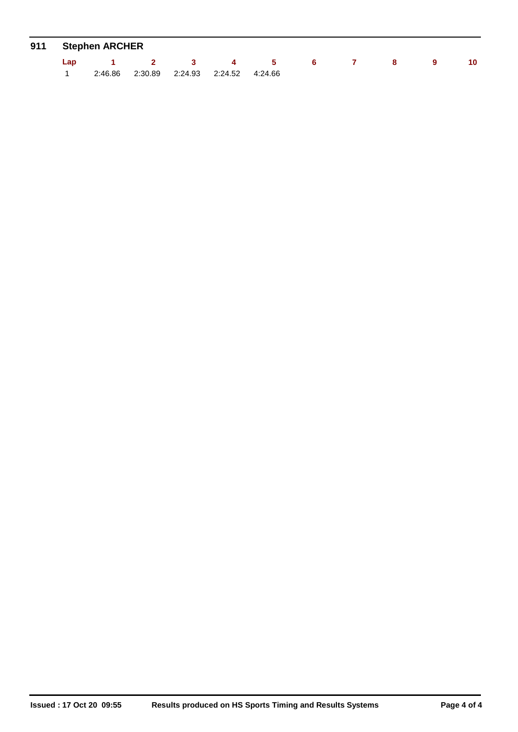|     | 911 Stephen ARCHER |     |                                    |                     |    |  |    |
|-----|--------------------|-----|------------------------------------|---------------------|----|--|----|
| Lap |                    | 2 3 | $\sim$ 4                           | $\sim$ 5 and $\sim$ | 65 |  | 10 |
|     | 2:46.86            |     | 2:30.89  2:24.93  2:24.52  4:24.66 |                     |    |  |    |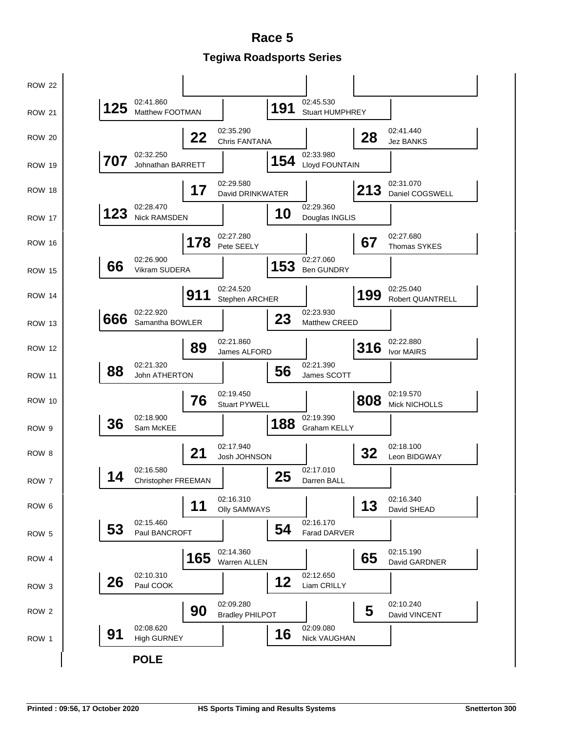**Tegiwa Roadsports Series Race 5**

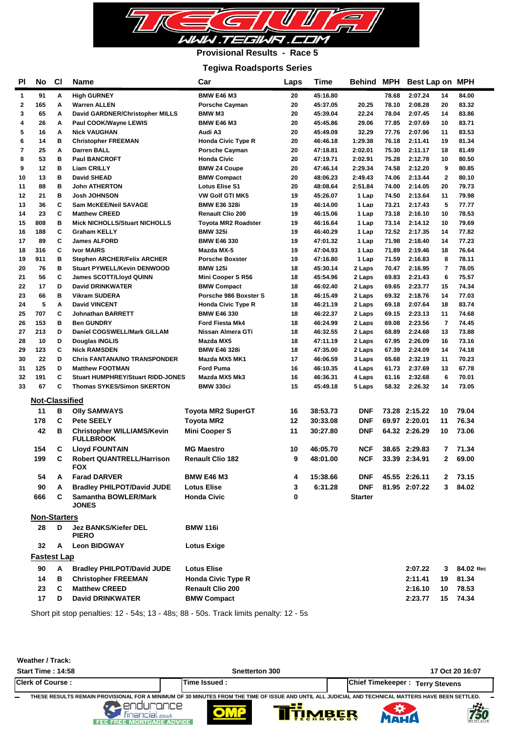

### **Provisional Results - Race 5**

#### **Tegiwa Roadsports Series**

| <b>High GURNEY</b><br><b>BMW E46 M3</b><br>45:16.80<br>2:07.24<br>91<br>Α<br>20<br>78.68<br>14<br>84.00<br>1<br>20<br>2<br>165<br>Α<br><b>Warren ALLEN</b><br><b>Porsche Cayman</b><br>45:37.05<br>20.25<br>78.10<br>2:08.28<br>20<br>83.32<br>22.24<br>3<br>65<br>Α<br>David GARDNER/Christopher MILLS<br><b>BMW M3</b><br>20<br>45:39.04<br>78.04<br>2:07.45<br>14<br>83.86<br>4<br>26<br>Α<br>Paul COOK/Wayne LEWIS<br><b>BMW E46 M3</b><br>20<br>45:45.86<br>29.06<br>77.85<br>2:07.69<br>10<br>83.71<br>5<br>Α<br>83.53<br>16<br><b>Nick VAUGHAN</b><br>Audi A3<br>20<br>45:49.09<br>32.29<br>77.76<br>2:07.96<br>11<br>в<br>6<br>14<br><b>Christopher FREEMAN</b><br><b>Honda Civic Type R</b><br>20<br>46:46.18<br>1:29.38<br>76.18<br>2:11.41<br>19<br>81.34<br>7<br>25<br>Α<br>Darren BALL<br><b>Porsche Cayman</b><br>20<br>47:18.81<br>2:02.01<br>75.30<br>2:11.17<br>18<br>81.49<br>в<br>8<br>53<br><b>Paul BANCROFT</b><br><b>Honda Civic</b><br>20<br>47:19.71<br>2:02.91<br>75.28<br>2:12.78<br>10<br>80.50<br>B<br>12<br>74.58<br>9<br>9<br><b>Liam CRILLY</b><br><b>BMW Z4 Coupe</b><br>20<br>47:46.14<br>2:29.34<br>2:12.20<br>80.85<br>в<br>$\mathbf{2}$<br>13<br><b>David SHEAD</b><br><b>BMW Compact</b><br>20<br>48:06.23<br>2:49.43<br>74.06<br>2:13.44<br>80.10<br>10<br>в<br>88<br><b>John ATHERTON</b><br><b>Lotus Elise S1</b><br>20<br>48:08.64<br>2:51.84<br>74.00<br>2:14.05<br>20<br>79.73<br>11<br>в<br>12<br>21<br><b>Josh JOHNSON</b><br><b>VW Golf GTI MK5</b><br>19<br>45:26.07<br>74.50<br>2:13.64<br>11<br>79.98<br>1 Lap<br>C<br>36<br>5<br>Sam McKEE/Neil SAVAGE<br>19<br>46:14.00<br>1 Lap<br>73.21<br>2:17.43<br>77.77<br>13<br><b>BMW E36 328i</b><br>C<br>78.53<br>14<br>23<br><b>Matthew CREED</b><br><b>Renault Clio 200</b><br>19<br>46:15.06<br>1 Lap<br>73.18<br>2:16.10<br>10<br>в<br>15<br>808<br><b>Mick NICHOLLS/Stuart NICHOLLS</b><br>Toyota MR2 Roadster<br>19<br>46:16.64<br>1 Lap<br>73.14<br>2:14.12<br>10<br>79.69<br>C<br>188<br>19<br>72.52<br>2:17.35<br>77.82<br><b>Graham KELLY</b><br>46:40.29<br>14<br>16<br><b>BMW 325i</b><br>1 Lap<br>C<br>19<br>71.98<br>14<br>77.23<br>89<br><b>James ALFORD</b><br><b>BMW E46 330</b><br>47:01.32<br>1 Lap<br>2:18.40<br>17<br>c<br>19<br>47:04.93<br>71.89<br>2:19.46<br>76.64<br>18<br>316<br><b>Ivor MAIRS</b><br>Mazda MX-5<br>1 Lap<br>18<br>в<br>19<br>71.59<br>8<br>78.11<br>19<br>911<br><b>Stephen ARCHER/Felix ARCHER</b><br><b>Porsche Boxster</b><br>47:16.80<br>1 Lap<br>2:16.83<br>76<br>в<br><b>BMW 125i</b><br>18<br>45:30.14<br>70.47<br>2:16.95<br>$\overline{7}$<br>78.05<br>20<br><b>Stuart PYWELL/Kevin DENWOOD</b><br>2 Laps<br>C<br>56<br>18<br>45:54.96<br>69.83<br>2:21.43<br>6<br>75.57<br>21<br>James SCOTT/Lloyd QUINN<br>Mini Cooper S R56<br>2 Laps<br>17<br>D<br><b>David DRINKWATER</b><br>46:02.40<br>69.65<br>2:23.77<br>15<br>74.34<br>22<br><b>BMW Compact</b><br>18<br>2 Laps<br>23<br>66<br>в<br>18<br>69.32<br>2:18.76<br>14<br>77.03<br><b>Vikram SUDERA</b><br>Porsche 986 Boxster S<br>46:15.49<br>2 Laps<br>5<br>A<br>69.18<br>2:07.64<br>83.74<br>24<br><b>David VINCENT</b><br><b>Honda Civic Type R</b><br>18<br>46:21.19<br>2 Laps<br>18<br>707<br>c<br>2:23.13<br>74.68<br>25<br><b>Johnathan BARRETT</b><br><b>BMW E46 330</b><br>18<br>46:22.37<br>2 Laps<br>69.15<br>11<br>в<br>69.08<br>2:23.56<br>74.45<br>26<br>153<br><b>Ben GUNDRY</b><br><b>Ford Fiesta Mk4</b><br>18<br>46:24.99<br>2 Laps<br>7<br>D<br>73.88<br>27<br>213<br>Daniel COGSWELL/Mark GILLAM<br>Nissan Almera GTi<br>18<br>46:32.55<br>2 Laps<br>68.89<br>2:24.68<br>13<br>10<br>D<br>67.95<br>2:26.09<br>28<br>Douglas INGLIS<br>Mazda MX5<br>18<br>47:11.19<br>2 Laps<br>16<br>73.16<br>C<br>123<br>74.18<br>29<br><b>Nick RAMSDEN</b><br><b>BMW E46 328i</b><br>18<br>47:35.00<br>2 Laps<br>67.39<br>2:24.09<br>14<br>D<br>30<br>22<br><b>Chris FANTANA/NO TRANSPONDER</b><br>Mazda MX5 MK1<br>17<br>46:06.59<br>3 Laps<br>65.68<br>2:32.19<br>11<br>70.23<br>D<br>125<br><b>Matthew FOOTMAN</b><br><b>Ford Puma</b><br>16<br>46:10.35<br>4 Laps<br>61.73<br>2:37.69<br>13<br>67.78<br>31<br>C<br>191<br>6<br>32<br><b>Stuart HUMPHREY/Stuart RIDD-JONES</b><br>Mazda MX5 Mk3<br>16<br>46:36.31<br>4 Laps<br>61.16<br>2:32.68<br>70.01<br>C<br>67<br>15<br>58.32<br>73.05<br>33<br><b>Thomas SYKES/Simon SKERTON</b><br><b>BMW 330ci</b><br>45:49.18<br>5 Laps<br>2:26.32<br>14<br><b>Not-Classified</b><br>11<br>в<br><b>Toyota MR2 SuperGT</b><br>38:53.73<br><b>DNF</b><br>73.28 2:15.22<br>79.04<br><b>Olly SAMWAYS</b><br>16<br>10<br>178<br>C<br><b>Pete SEELY</b><br>12<br>30:33.08<br><b>DNF</b><br>69.97 2:20.01<br>76.34<br>Toyota MR2<br>11<br>42<br><b>Mini Cooper S</b><br>11<br>30:27.80<br><b>DNF</b><br>64.32 2:26.29<br>10<br>73.06<br>в<br><b>Christopher WILLIAMS/Kevin</b><br><b>FULLBROOK</b><br><b>MG Maestro</b><br>154<br>С<br><b>Lloyd FOUNTAIN</b><br>10<br>46:05.70<br><b>NCF</b><br>38.65 2:29.83<br>7<br>71.34<br>C<br><b>NCF</b><br>199<br>9<br>33.39 2:34.91<br>$\mathbf{2}$<br>69.00<br><b>Robert QUANTRELL/Harrison</b><br><b>Renault Clio 182</b><br>48:01.00<br><b>FOX</b><br>15:38.66<br>45.55 2:26.11<br>73.15<br>54<br><b>Farad DARVER</b><br><b>BMW E46 M3</b><br><b>DNF</b><br>2<br>A<br>4<br>3<br>90<br>A<br><b>Bradley PHILPOT/David JUDE</b><br>6:31.28<br><b>DNF</b><br>81.95 2:07.22<br>3<br>84.02<br><b>Lotus Elise</b><br>666<br>C<br>Samantha BOWLER/Mark<br><b>Honda Civic</b><br>0<br><b>Starter</b><br><b>JONES</b><br><b>Non-Starters</b><br>28<br>D<br><b>Jez BANKS/Kiefer DEL</b><br><b>BMW 116i</b><br><b>PIERO</b><br>32<br><b>Leon BIDGWAY</b><br>A<br><b>Lotus Exige</b><br><b>Fastest Lap</b><br>90<br>A<br><b>Bradley PHILPOT/David JUDE</b><br><b>Lotus Elise</b><br>84.02 Rec<br>2:07.22<br>3<br>14<br>в<br><b>Honda Civic Type R</b><br>2:11.41<br>81.34<br><b>Christopher FREEMAN</b><br>19<br>23<br>C<br><b>Matthew CREED</b><br><b>Renault Clio 200</b><br>2:16.10<br>78.53<br>10 | ΡI | No | <b>CI</b> | Name                    | Car                | Laps | Time |  | Behind MPH Best Lap on MPH |    |       |
|----------------------------------------------------------------------------------------------------------------------------------------------------------------------------------------------------------------------------------------------------------------------------------------------------------------------------------------------------------------------------------------------------------------------------------------------------------------------------------------------------------------------------------------------------------------------------------------------------------------------------------------------------------------------------------------------------------------------------------------------------------------------------------------------------------------------------------------------------------------------------------------------------------------------------------------------------------------------------------------------------------------------------------------------------------------------------------------------------------------------------------------------------------------------------------------------------------------------------------------------------------------------------------------------------------------------------------------------------------------------------------------------------------------------------------------------------------------------------------------------------------------------------------------------------------------------------------------------------------------------------------------------------------------------------------------------------------------------------------------------------------------------------------------------------------------------------------------------------------------------------------------------------------------------------------------------------------------------------------------------------------------------------------------------------------------------------------------------------------------------------------------------------------------------------------------------------------------------------------------------------------------------------------------------------------------------------------------------------------------------------------------------------------------------------------------------------------------------------------------------------------------------------------------------------------------------------------------------------------------------------------------------------------------------------------------------------------------------------------------------------------------------------------------------------------------------------------------------------------------------------------------------------------------------------------------------------------------------------------------------------------------------------------------------------------------------------------------------------------------------------------------------------------------------------------------------------------------------------------------------------------------------------------------------------------------------------------------------------------------------------------------------------------------------------------------------------------------------------------------------------------------------------------------------------------------------------------------------------------------------------------------------------------------------------------------------------------------------------------------------------------------------------------------------------------------------------------------------------------------------------------------------------------------------------------------------------------------------------------------------------------------------------------------------------------------------------------------------------------------------------------------------------------------------------------------------------------------------------------------------------------------------------------------------------------------------------------------------------------------------------------------------------------------------------------------------------------------------------------------------------------------------------------------------------------------------------------------------------------------------------------------------------------------------------------------------------------------------------------------------------------------------------------------------------------------------------------------------------------------------------------------------------------------------------------------------------------------------------------------------------------------------------------------------------------------------------------------------------------------------------------------------------------------------------------------------------------------------------------------------------------------------------------------------------------------------------------------------------------------------------------------------------------------------------------------------------------------------------------------------------------------------------------------------------------------------------------------------------------------------------------------------------------------------------------------------------------------------------------------------------------------------------------------------------------------------------------------------------------------------------------------------------------------------------------------------------------------------------------------|----|----|-----------|-------------------------|--------------------|------|------|--|----------------------------|----|-------|
|                                                                                                                                                                                                                                                                                                                                                                                                                                                                                                                                                                                                                                                                                                                                                                                                                                                                                                                                                                                                                                                                                                                                                                                                                                                                                                                                                                                                                                                                                                                                                                                                                                                                                                                                                                                                                                                                                                                                                                                                                                                                                                                                                                                                                                                                                                                                                                                                                                                                                                                                                                                                                                                                                                                                                                                                                                                                                                                                                                                                                                                                                                                                                                                                                                                                                                                                                                                                                                                                                                                                                                                                                                                                                                                                                                                                                                                                                                                                                                                                                                                                                                                                                                                                                                                                                                                                                                                                                                                                                                                                                                                                                                                                                                                                                                                                                                                                                                                                                                                                                                                                                                                                                                                                                                                                                                                                                                                                                                                                                                                                                                                                                                                                                                                                                                                                                                                                                                                                                                                        |    |    |           |                         |                    |      |      |  |                            |    |       |
|                                                                                                                                                                                                                                                                                                                                                                                                                                                                                                                                                                                                                                                                                                                                                                                                                                                                                                                                                                                                                                                                                                                                                                                                                                                                                                                                                                                                                                                                                                                                                                                                                                                                                                                                                                                                                                                                                                                                                                                                                                                                                                                                                                                                                                                                                                                                                                                                                                                                                                                                                                                                                                                                                                                                                                                                                                                                                                                                                                                                                                                                                                                                                                                                                                                                                                                                                                                                                                                                                                                                                                                                                                                                                                                                                                                                                                                                                                                                                                                                                                                                                                                                                                                                                                                                                                                                                                                                                                                                                                                                                                                                                                                                                                                                                                                                                                                                                                                                                                                                                                                                                                                                                                                                                                                                                                                                                                                                                                                                                                                                                                                                                                                                                                                                                                                                                                                                                                                                                                                        |    |    |           |                         |                    |      |      |  |                            |    |       |
|                                                                                                                                                                                                                                                                                                                                                                                                                                                                                                                                                                                                                                                                                                                                                                                                                                                                                                                                                                                                                                                                                                                                                                                                                                                                                                                                                                                                                                                                                                                                                                                                                                                                                                                                                                                                                                                                                                                                                                                                                                                                                                                                                                                                                                                                                                                                                                                                                                                                                                                                                                                                                                                                                                                                                                                                                                                                                                                                                                                                                                                                                                                                                                                                                                                                                                                                                                                                                                                                                                                                                                                                                                                                                                                                                                                                                                                                                                                                                                                                                                                                                                                                                                                                                                                                                                                                                                                                                                                                                                                                                                                                                                                                                                                                                                                                                                                                                                                                                                                                                                                                                                                                                                                                                                                                                                                                                                                                                                                                                                                                                                                                                                                                                                                                                                                                                                                                                                                                                                                        |    |    |           |                         |                    |      |      |  |                            |    |       |
|                                                                                                                                                                                                                                                                                                                                                                                                                                                                                                                                                                                                                                                                                                                                                                                                                                                                                                                                                                                                                                                                                                                                                                                                                                                                                                                                                                                                                                                                                                                                                                                                                                                                                                                                                                                                                                                                                                                                                                                                                                                                                                                                                                                                                                                                                                                                                                                                                                                                                                                                                                                                                                                                                                                                                                                                                                                                                                                                                                                                                                                                                                                                                                                                                                                                                                                                                                                                                                                                                                                                                                                                                                                                                                                                                                                                                                                                                                                                                                                                                                                                                                                                                                                                                                                                                                                                                                                                                                                                                                                                                                                                                                                                                                                                                                                                                                                                                                                                                                                                                                                                                                                                                                                                                                                                                                                                                                                                                                                                                                                                                                                                                                                                                                                                                                                                                                                                                                                                                                                        |    |    |           |                         |                    |      |      |  |                            |    |       |
|                                                                                                                                                                                                                                                                                                                                                                                                                                                                                                                                                                                                                                                                                                                                                                                                                                                                                                                                                                                                                                                                                                                                                                                                                                                                                                                                                                                                                                                                                                                                                                                                                                                                                                                                                                                                                                                                                                                                                                                                                                                                                                                                                                                                                                                                                                                                                                                                                                                                                                                                                                                                                                                                                                                                                                                                                                                                                                                                                                                                                                                                                                                                                                                                                                                                                                                                                                                                                                                                                                                                                                                                                                                                                                                                                                                                                                                                                                                                                                                                                                                                                                                                                                                                                                                                                                                                                                                                                                                                                                                                                                                                                                                                                                                                                                                                                                                                                                                                                                                                                                                                                                                                                                                                                                                                                                                                                                                                                                                                                                                                                                                                                                                                                                                                                                                                                                                                                                                                                                                        |    |    |           |                         |                    |      |      |  |                            |    |       |
|                                                                                                                                                                                                                                                                                                                                                                                                                                                                                                                                                                                                                                                                                                                                                                                                                                                                                                                                                                                                                                                                                                                                                                                                                                                                                                                                                                                                                                                                                                                                                                                                                                                                                                                                                                                                                                                                                                                                                                                                                                                                                                                                                                                                                                                                                                                                                                                                                                                                                                                                                                                                                                                                                                                                                                                                                                                                                                                                                                                                                                                                                                                                                                                                                                                                                                                                                                                                                                                                                                                                                                                                                                                                                                                                                                                                                                                                                                                                                                                                                                                                                                                                                                                                                                                                                                                                                                                                                                                                                                                                                                                                                                                                                                                                                                                                                                                                                                                                                                                                                                                                                                                                                                                                                                                                                                                                                                                                                                                                                                                                                                                                                                                                                                                                                                                                                                                                                                                                                                                        |    |    |           |                         |                    |      |      |  |                            |    |       |
|                                                                                                                                                                                                                                                                                                                                                                                                                                                                                                                                                                                                                                                                                                                                                                                                                                                                                                                                                                                                                                                                                                                                                                                                                                                                                                                                                                                                                                                                                                                                                                                                                                                                                                                                                                                                                                                                                                                                                                                                                                                                                                                                                                                                                                                                                                                                                                                                                                                                                                                                                                                                                                                                                                                                                                                                                                                                                                                                                                                                                                                                                                                                                                                                                                                                                                                                                                                                                                                                                                                                                                                                                                                                                                                                                                                                                                                                                                                                                                                                                                                                                                                                                                                                                                                                                                                                                                                                                                                                                                                                                                                                                                                                                                                                                                                                                                                                                                                                                                                                                                                                                                                                                                                                                                                                                                                                                                                                                                                                                                                                                                                                                                                                                                                                                                                                                                                                                                                                                                                        |    |    |           |                         |                    |      |      |  |                            |    |       |
|                                                                                                                                                                                                                                                                                                                                                                                                                                                                                                                                                                                                                                                                                                                                                                                                                                                                                                                                                                                                                                                                                                                                                                                                                                                                                                                                                                                                                                                                                                                                                                                                                                                                                                                                                                                                                                                                                                                                                                                                                                                                                                                                                                                                                                                                                                                                                                                                                                                                                                                                                                                                                                                                                                                                                                                                                                                                                                                                                                                                                                                                                                                                                                                                                                                                                                                                                                                                                                                                                                                                                                                                                                                                                                                                                                                                                                                                                                                                                                                                                                                                                                                                                                                                                                                                                                                                                                                                                                                                                                                                                                                                                                                                                                                                                                                                                                                                                                                                                                                                                                                                                                                                                                                                                                                                                                                                                                                                                                                                                                                                                                                                                                                                                                                                                                                                                                                                                                                                                                                        |    |    |           |                         |                    |      |      |  |                            |    |       |
|                                                                                                                                                                                                                                                                                                                                                                                                                                                                                                                                                                                                                                                                                                                                                                                                                                                                                                                                                                                                                                                                                                                                                                                                                                                                                                                                                                                                                                                                                                                                                                                                                                                                                                                                                                                                                                                                                                                                                                                                                                                                                                                                                                                                                                                                                                                                                                                                                                                                                                                                                                                                                                                                                                                                                                                                                                                                                                                                                                                                                                                                                                                                                                                                                                                                                                                                                                                                                                                                                                                                                                                                                                                                                                                                                                                                                                                                                                                                                                                                                                                                                                                                                                                                                                                                                                                                                                                                                                                                                                                                                                                                                                                                                                                                                                                                                                                                                                                                                                                                                                                                                                                                                                                                                                                                                                                                                                                                                                                                                                                                                                                                                                                                                                                                                                                                                                                                                                                                                                                        |    |    |           |                         |                    |      |      |  |                            |    |       |
|                                                                                                                                                                                                                                                                                                                                                                                                                                                                                                                                                                                                                                                                                                                                                                                                                                                                                                                                                                                                                                                                                                                                                                                                                                                                                                                                                                                                                                                                                                                                                                                                                                                                                                                                                                                                                                                                                                                                                                                                                                                                                                                                                                                                                                                                                                                                                                                                                                                                                                                                                                                                                                                                                                                                                                                                                                                                                                                                                                                                                                                                                                                                                                                                                                                                                                                                                                                                                                                                                                                                                                                                                                                                                                                                                                                                                                                                                                                                                                                                                                                                                                                                                                                                                                                                                                                                                                                                                                                                                                                                                                                                                                                                                                                                                                                                                                                                                                                                                                                                                                                                                                                                                                                                                                                                                                                                                                                                                                                                                                                                                                                                                                                                                                                                                                                                                                                                                                                                                                                        |    |    |           |                         |                    |      |      |  |                            |    |       |
|                                                                                                                                                                                                                                                                                                                                                                                                                                                                                                                                                                                                                                                                                                                                                                                                                                                                                                                                                                                                                                                                                                                                                                                                                                                                                                                                                                                                                                                                                                                                                                                                                                                                                                                                                                                                                                                                                                                                                                                                                                                                                                                                                                                                                                                                                                                                                                                                                                                                                                                                                                                                                                                                                                                                                                                                                                                                                                                                                                                                                                                                                                                                                                                                                                                                                                                                                                                                                                                                                                                                                                                                                                                                                                                                                                                                                                                                                                                                                                                                                                                                                                                                                                                                                                                                                                                                                                                                                                                                                                                                                                                                                                                                                                                                                                                                                                                                                                                                                                                                                                                                                                                                                                                                                                                                                                                                                                                                                                                                                                                                                                                                                                                                                                                                                                                                                                                                                                                                                                                        |    |    |           |                         |                    |      |      |  |                            |    |       |
|                                                                                                                                                                                                                                                                                                                                                                                                                                                                                                                                                                                                                                                                                                                                                                                                                                                                                                                                                                                                                                                                                                                                                                                                                                                                                                                                                                                                                                                                                                                                                                                                                                                                                                                                                                                                                                                                                                                                                                                                                                                                                                                                                                                                                                                                                                                                                                                                                                                                                                                                                                                                                                                                                                                                                                                                                                                                                                                                                                                                                                                                                                                                                                                                                                                                                                                                                                                                                                                                                                                                                                                                                                                                                                                                                                                                                                                                                                                                                                                                                                                                                                                                                                                                                                                                                                                                                                                                                                                                                                                                                                                                                                                                                                                                                                                                                                                                                                                                                                                                                                                                                                                                                                                                                                                                                                                                                                                                                                                                                                                                                                                                                                                                                                                                                                                                                                                                                                                                                                                        |    |    |           |                         |                    |      |      |  |                            |    |       |
|                                                                                                                                                                                                                                                                                                                                                                                                                                                                                                                                                                                                                                                                                                                                                                                                                                                                                                                                                                                                                                                                                                                                                                                                                                                                                                                                                                                                                                                                                                                                                                                                                                                                                                                                                                                                                                                                                                                                                                                                                                                                                                                                                                                                                                                                                                                                                                                                                                                                                                                                                                                                                                                                                                                                                                                                                                                                                                                                                                                                                                                                                                                                                                                                                                                                                                                                                                                                                                                                                                                                                                                                                                                                                                                                                                                                                                                                                                                                                                                                                                                                                                                                                                                                                                                                                                                                                                                                                                                                                                                                                                                                                                                                                                                                                                                                                                                                                                                                                                                                                                                                                                                                                                                                                                                                                                                                                                                                                                                                                                                                                                                                                                                                                                                                                                                                                                                                                                                                                                                        |    |    |           |                         |                    |      |      |  |                            |    |       |
|                                                                                                                                                                                                                                                                                                                                                                                                                                                                                                                                                                                                                                                                                                                                                                                                                                                                                                                                                                                                                                                                                                                                                                                                                                                                                                                                                                                                                                                                                                                                                                                                                                                                                                                                                                                                                                                                                                                                                                                                                                                                                                                                                                                                                                                                                                                                                                                                                                                                                                                                                                                                                                                                                                                                                                                                                                                                                                                                                                                                                                                                                                                                                                                                                                                                                                                                                                                                                                                                                                                                                                                                                                                                                                                                                                                                                                                                                                                                                                                                                                                                                                                                                                                                                                                                                                                                                                                                                                                                                                                                                                                                                                                                                                                                                                                                                                                                                                                                                                                                                                                                                                                                                                                                                                                                                                                                                                                                                                                                                                                                                                                                                                                                                                                                                                                                                                                                                                                                                                                        |    |    |           |                         |                    |      |      |  |                            |    |       |
|                                                                                                                                                                                                                                                                                                                                                                                                                                                                                                                                                                                                                                                                                                                                                                                                                                                                                                                                                                                                                                                                                                                                                                                                                                                                                                                                                                                                                                                                                                                                                                                                                                                                                                                                                                                                                                                                                                                                                                                                                                                                                                                                                                                                                                                                                                                                                                                                                                                                                                                                                                                                                                                                                                                                                                                                                                                                                                                                                                                                                                                                                                                                                                                                                                                                                                                                                                                                                                                                                                                                                                                                                                                                                                                                                                                                                                                                                                                                                                                                                                                                                                                                                                                                                                                                                                                                                                                                                                                                                                                                                                                                                                                                                                                                                                                                                                                                                                                                                                                                                                                                                                                                                                                                                                                                                                                                                                                                                                                                                                                                                                                                                                                                                                                                                                                                                                                                                                                                                                                        |    |    |           |                         |                    |      |      |  |                            |    |       |
|                                                                                                                                                                                                                                                                                                                                                                                                                                                                                                                                                                                                                                                                                                                                                                                                                                                                                                                                                                                                                                                                                                                                                                                                                                                                                                                                                                                                                                                                                                                                                                                                                                                                                                                                                                                                                                                                                                                                                                                                                                                                                                                                                                                                                                                                                                                                                                                                                                                                                                                                                                                                                                                                                                                                                                                                                                                                                                                                                                                                                                                                                                                                                                                                                                                                                                                                                                                                                                                                                                                                                                                                                                                                                                                                                                                                                                                                                                                                                                                                                                                                                                                                                                                                                                                                                                                                                                                                                                                                                                                                                                                                                                                                                                                                                                                                                                                                                                                                                                                                                                                                                                                                                                                                                                                                                                                                                                                                                                                                                                                                                                                                                                                                                                                                                                                                                                                                                                                                                                                        |    |    |           |                         |                    |      |      |  |                            |    |       |
|                                                                                                                                                                                                                                                                                                                                                                                                                                                                                                                                                                                                                                                                                                                                                                                                                                                                                                                                                                                                                                                                                                                                                                                                                                                                                                                                                                                                                                                                                                                                                                                                                                                                                                                                                                                                                                                                                                                                                                                                                                                                                                                                                                                                                                                                                                                                                                                                                                                                                                                                                                                                                                                                                                                                                                                                                                                                                                                                                                                                                                                                                                                                                                                                                                                                                                                                                                                                                                                                                                                                                                                                                                                                                                                                                                                                                                                                                                                                                                                                                                                                                                                                                                                                                                                                                                                                                                                                                                                                                                                                                                                                                                                                                                                                                                                                                                                                                                                                                                                                                                                                                                                                                                                                                                                                                                                                                                                                                                                                                                                                                                                                                                                                                                                                                                                                                                                                                                                                                                                        |    |    |           |                         |                    |      |      |  |                            |    |       |
|                                                                                                                                                                                                                                                                                                                                                                                                                                                                                                                                                                                                                                                                                                                                                                                                                                                                                                                                                                                                                                                                                                                                                                                                                                                                                                                                                                                                                                                                                                                                                                                                                                                                                                                                                                                                                                                                                                                                                                                                                                                                                                                                                                                                                                                                                                                                                                                                                                                                                                                                                                                                                                                                                                                                                                                                                                                                                                                                                                                                                                                                                                                                                                                                                                                                                                                                                                                                                                                                                                                                                                                                                                                                                                                                                                                                                                                                                                                                                                                                                                                                                                                                                                                                                                                                                                                                                                                                                                                                                                                                                                                                                                                                                                                                                                                                                                                                                                                                                                                                                                                                                                                                                                                                                                                                                                                                                                                                                                                                                                                                                                                                                                                                                                                                                                                                                                                                                                                                                                                        |    |    |           |                         |                    |      |      |  |                            |    |       |
|                                                                                                                                                                                                                                                                                                                                                                                                                                                                                                                                                                                                                                                                                                                                                                                                                                                                                                                                                                                                                                                                                                                                                                                                                                                                                                                                                                                                                                                                                                                                                                                                                                                                                                                                                                                                                                                                                                                                                                                                                                                                                                                                                                                                                                                                                                                                                                                                                                                                                                                                                                                                                                                                                                                                                                                                                                                                                                                                                                                                                                                                                                                                                                                                                                                                                                                                                                                                                                                                                                                                                                                                                                                                                                                                                                                                                                                                                                                                                                                                                                                                                                                                                                                                                                                                                                                                                                                                                                                                                                                                                                                                                                                                                                                                                                                                                                                                                                                                                                                                                                                                                                                                                                                                                                                                                                                                                                                                                                                                                                                                                                                                                                                                                                                                                                                                                                                                                                                                                                                        |    |    |           |                         |                    |      |      |  |                            |    |       |
|                                                                                                                                                                                                                                                                                                                                                                                                                                                                                                                                                                                                                                                                                                                                                                                                                                                                                                                                                                                                                                                                                                                                                                                                                                                                                                                                                                                                                                                                                                                                                                                                                                                                                                                                                                                                                                                                                                                                                                                                                                                                                                                                                                                                                                                                                                                                                                                                                                                                                                                                                                                                                                                                                                                                                                                                                                                                                                                                                                                                                                                                                                                                                                                                                                                                                                                                                                                                                                                                                                                                                                                                                                                                                                                                                                                                                                                                                                                                                                                                                                                                                                                                                                                                                                                                                                                                                                                                                                                                                                                                                                                                                                                                                                                                                                                                                                                                                                                                                                                                                                                                                                                                                                                                                                                                                                                                                                                                                                                                                                                                                                                                                                                                                                                                                                                                                                                                                                                                                                                        |    |    |           |                         |                    |      |      |  |                            |    |       |
|                                                                                                                                                                                                                                                                                                                                                                                                                                                                                                                                                                                                                                                                                                                                                                                                                                                                                                                                                                                                                                                                                                                                                                                                                                                                                                                                                                                                                                                                                                                                                                                                                                                                                                                                                                                                                                                                                                                                                                                                                                                                                                                                                                                                                                                                                                                                                                                                                                                                                                                                                                                                                                                                                                                                                                                                                                                                                                                                                                                                                                                                                                                                                                                                                                                                                                                                                                                                                                                                                                                                                                                                                                                                                                                                                                                                                                                                                                                                                                                                                                                                                                                                                                                                                                                                                                                                                                                                                                                                                                                                                                                                                                                                                                                                                                                                                                                                                                                                                                                                                                                                                                                                                                                                                                                                                                                                                                                                                                                                                                                                                                                                                                                                                                                                                                                                                                                                                                                                                                                        |    |    |           |                         |                    |      |      |  |                            |    |       |
|                                                                                                                                                                                                                                                                                                                                                                                                                                                                                                                                                                                                                                                                                                                                                                                                                                                                                                                                                                                                                                                                                                                                                                                                                                                                                                                                                                                                                                                                                                                                                                                                                                                                                                                                                                                                                                                                                                                                                                                                                                                                                                                                                                                                                                                                                                                                                                                                                                                                                                                                                                                                                                                                                                                                                                                                                                                                                                                                                                                                                                                                                                                                                                                                                                                                                                                                                                                                                                                                                                                                                                                                                                                                                                                                                                                                                                                                                                                                                                                                                                                                                                                                                                                                                                                                                                                                                                                                                                                                                                                                                                                                                                                                                                                                                                                                                                                                                                                                                                                                                                                                                                                                                                                                                                                                                                                                                                                                                                                                                                                                                                                                                                                                                                                                                                                                                                                                                                                                                                                        |    |    |           |                         |                    |      |      |  |                            |    |       |
|                                                                                                                                                                                                                                                                                                                                                                                                                                                                                                                                                                                                                                                                                                                                                                                                                                                                                                                                                                                                                                                                                                                                                                                                                                                                                                                                                                                                                                                                                                                                                                                                                                                                                                                                                                                                                                                                                                                                                                                                                                                                                                                                                                                                                                                                                                                                                                                                                                                                                                                                                                                                                                                                                                                                                                                                                                                                                                                                                                                                                                                                                                                                                                                                                                                                                                                                                                                                                                                                                                                                                                                                                                                                                                                                                                                                                                                                                                                                                                                                                                                                                                                                                                                                                                                                                                                                                                                                                                                                                                                                                                                                                                                                                                                                                                                                                                                                                                                                                                                                                                                                                                                                                                                                                                                                                                                                                                                                                                                                                                                                                                                                                                                                                                                                                                                                                                                                                                                                                                                        |    |    |           |                         |                    |      |      |  |                            |    |       |
|                                                                                                                                                                                                                                                                                                                                                                                                                                                                                                                                                                                                                                                                                                                                                                                                                                                                                                                                                                                                                                                                                                                                                                                                                                                                                                                                                                                                                                                                                                                                                                                                                                                                                                                                                                                                                                                                                                                                                                                                                                                                                                                                                                                                                                                                                                                                                                                                                                                                                                                                                                                                                                                                                                                                                                                                                                                                                                                                                                                                                                                                                                                                                                                                                                                                                                                                                                                                                                                                                                                                                                                                                                                                                                                                                                                                                                                                                                                                                                                                                                                                                                                                                                                                                                                                                                                                                                                                                                                                                                                                                                                                                                                                                                                                                                                                                                                                                                                                                                                                                                                                                                                                                                                                                                                                                                                                                                                                                                                                                                                                                                                                                                                                                                                                                                                                                                                                                                                                                                                        |    |    |           |                         |                    |      |      |  |                            |    |       |
|                                                                                                                                                                                                                                                                                                                                                                                                                                                                                                                                                                                                                                                                                                                                                                                                                                                                                                                                                                                                                                                                                                                                                                                                                                                                                                                                                                                                                                                                                                                                                                                                                                                                                                                                                                                                                                                                                                                                                                                                                                                                                                                                                                                                                                                                                                                                                                                                                                                                                                                                                                                                                                                                                                                                                                                                                                                                                                                                                                                                                                                                                                                                                                                                                                                                                                                                                                                                                                                                                                                                                                                                                                                                                                                                                                                                                                                                                                                                                                                                                                                                                                                                                                                                                                                                                                                                                                                                                                                                                                                                                                                                                                                                                                                                                                                                                                                                                                                                                                                                                                                                                                                                                                                                                                                                                                                                                                                                                                                                                                                                                                                                                                                                                                                                                                                                                                                                                                                                                                                        |    |    |           |                         |                    |      |      |  |                            |    |       |
|                                                                                                                                                                                                                                                                                                                                                                                                                                                                                                                                                                                                                                                                                                                                                                                                                                                                                                                                                                                                                                                                                                                                                                                                                                                                                                                                                                                                                                                                                                                                                                                                                                                                                                                                                                                                                                                                                                                                                                                                                                                                                                                                                                                                                                                                                                                                                                                                                                                                                                                                                                                                                                                                                                                                                                                                                                                                                                                                                                                                                                                                                                                                                                                                                                                                                                                                                                                                                                                                                                                                                                                                                                                                                                                                                                                                                                                                                                                                                                                                                                                                                                                                                                                                                                                                                                                                                                                                                                                                                                                                                                                                                                                                                                                                                                                                                                                                                                                                                                                                                                                                                                                                                                                                                                                                                                                                                                                                                                                                                                                                                                                                                                                                                                                                                                                                                                                                                                                                                                                        |    |    |           |                         |                    |      |      |  |                            |    |       |
|                                                                                                                                                                                                                                                                                                                                                                                                                                                                                                                                                                                                                                                                                                                                                                                                                                                                                                                                                                                                                                                                                                                                                                                                                                                                                                                                                                                                                                                                                                                                                                                                                                                                                                                                                                                                                                                                                                                                                                                                                                                                                                                                                                                                                                                                                                                                                                                                                                                                                                                                                                                                                                                                                                                                                                                                                                                                                                                                                                                                                                                                                                                                                                                                                                                                                                                                                                                                                                                                                                                                                                                                                                                                                                                                                                                                                                                                                                                                                                                                                                                                                                                                                                                                                                                                                                                                                                                                                                                                                                                                                                                                                                                                                                                                                                                                                                                                                                                                                                                                                                                                                                                                                                                                                                                                                                                                                                                                                                                                                                                                                                                                                                                                                                                                                                                                                                                                                                                                                                                        |    |    |           |                         |                    |      |      |  |                            |    |       |
|                                                                                                                                                                                                                                                                                                                                                                                                                                                                                                                                                                                                                                                                                                                                                                                                                                                                                                                                                                                                                                                                                                                                                                                                                                                                                                                                                                                                                                                                                                                                                                                                                                                                                                                                                                                                                                                                                                                                                                                                                                                                                                                                                                                                                                                                                                                                                                                                                                                                                                                                                                                                                                                                                                                                                                                                                                                                                                                                                                                                                                                                                                                                                                                                                                                                                                                                                                                                                                                                                                                                                                                                                                                                                                                                                                                                                                                                                                                                                                                                                                                                                                                                                                                                                                                                                                                                                                                                                                                                                                                                                                                                                                                                                                                                                                                                                                                                                                                                                                                                                                                                                                                                                                                                                                                                                                                                                                                                                                                                                                                                                                                                                                                                                                                                                                                                                                                                                                                                                                                        |    |    |           |                         |                    |      |      |  |                            |    |       |
|                                                                                                                                                                                                                                                                                                                                                                                                                                                                                                                                                                                                                                                                                                                                                                                                                                                                                                                                                                                                                                                                                                                                                                                                                                                                                                                                                                                                                                                                                                                                                                                                                                                                                                                                                                                                                                                                                                                                                                                                                                                                                                                                                                                                                                                                                                                                                                                                                                                                                                                                                                                                                                                                                                                                                                                                                                                                                                                                                                                                                                                                                                                                                                                                                                                                                                                                                                                                                                                                                                                                                                                                                                                                                                                                                                                                                                                                                                                                                                                                                                                                                                                                                                                                                                                                                                                                                                                                                                                                                                                                                                                                                                                                                                                                                                                                                                                                                                                                                                                                                                                                                                                                                                                                                                                                                                                                                                                                                                                                                                                                                                                                                                                                                                                                                                                                                                                                                                                                                                                        |    |    |           |                         |                    |      |      |  |                            |    |       |
|                                                                                                                                                                                                                                                                                                                                                                                                                                                                                                                                                                                                                                                                                                                                                                                                                                                                                                                                                                                                                                                                                                                                                                                                                                                                                                                                                                                                                                                                                                                                                                                                                                                                                                                                                                                                                                                                                                                                                                                                                                                                                                                                                                                                                                                                                                                                                                                                                                                                                                                                                                                                                                                                                                                                                                                                                                                                                                                                                                                                                                                                                                                                                                                                                                                                                                                                                                                                                                                                                                                                                                                                                                                                                                                                                                                                                                                                                                                                                                                                                                                                                                                                                                                                                                                                                                                                                                                                                                                                                                                                                                                                                                                                                                                                                                                                                                                                                                                                                                                                                                                                                                                                                                                                                                                                                                                                                                                                                                                                                                                                                                                                                                                                                                                                                                                                                                                                                                                                                                                        |    |    |           |                         |                    |      |      |  |                            |    |       |
|                                                                                                                                                                                                                                                                                                                                                                                                                                                                                                                                                                                                                                                                                                                                                                                                                                                                                                                                                                                                                                                                                                                                                                                                                                                                                                                                                                                                                                                                                                                                                                                                                                                                                                                                                                                                                                                                                                                                                                                                                                                                                                                                                                                                                                                                                                                                                                                                                                                                                                                                                                                                                                                                                                                                                                                                                                                                                                                                                                                                                                                                                                                                                                                                                                                                                                                                                                                                                                                                                                                                                                                                                                                                                                                                                                                                                                                                                                                                                                                                                                                                                                                                                                                                                                                                                                                                                                                                                                                                                                                                                                                                                                                                                                                                                                                                                                                                                                                                                                                                                                                                                                                                                                                                                                                                                                                                                                                                                                                                                                                                                                                                                                                                                                                                                                                                                                                                                                                                                                                        |    |    |           |                         |                    |      |      |  |                            |    |       |
|                                                                                                                                                                                                                                                                                                                                                                                                                                                                                                                                                                                                                                                                                                                                                                                                                                                                                                                                                                                                                                                                                                                                                                                                                                                                                                                                                                                                                                                                                                                                                                                                                                                                                                                                                                                                                                                                                                                                                                                                                                                                                                                                                                                                                                                                                                                                                                                                                                                                                                                                                                                                                                                                                                                                                                                                                                                                                                                                                                                                                                                                                                                                                                                                                                                                                                                                                                                                                                                                                                                                                                                                                                                                                                                                                                                                                                                                                                                                                                                                                                                                                                                                                                                                                                                                                                                                                                                                                                                                                                                                                                                                                                                                                                                                                                                                                                                                                                                                                                                                                                                                                                                                                                                                                                                                                                                                                                                                                                                                                                                                                                                                                                                                                                                                                                                                                                                                                                                                                                                        |    |    |           |                         |                    |      |      |  |                            |    |       |
|                                                                                                                                                                                                                                                                                                                                                                                                                                                                                                                                                                                                                                                                                                                                                                                                                                                                                                                                                                                                                                                                                                                                                                                                                                                                                                                                                                                                                                                                                                                                                                                                                                                                                                                                                                                                                                                                                                                                                                                                                                                                                                                                                                                                                                                                                                                                                                                                                                                                                                                                                                                                                                                                                                                                                                                                                                                                                                                                                                                                                                                                                                                                                                                                                                                                                                                                                                                                                                                                                                                                                                                                                                                                                                                                                                                                                                                                                                                                                                                                                                                                                                                                                                                                                                                                                                                                                                                                                                                                                                                                                                                                                                                                                                                                                                                                                                                                                                                                                                                                                                                                                                                                                                                                                                                                                                                                                                                                                                                                                                                                                                                                                                                                                                                                                                                                                                                                                                                                                                                        |    |    |           |                         |                    |      |      |  |                            |    |       |
|                                                                                                                                                                                                                                                                                                                                                                                                                                                                                                                                                                                                                                                                                                                                                                                                                                                                                                                                                                                                                                                                                                                                                                                                                                                                                                                                                                                                                                                                                                                                                                                                                                                                                                                                                                                                                                                                                                                                                                                                                                                                                                                                                                                                                                                                                                                                                                                                                                                                                                                                                                                                                                                                                                                                                                                                                                                                                                                                                                                                                                                                                                                                                                                                                                                                                                                                                                                                                                                                                                                                                                                                                                                                                                                                                                                                                                                                                                                                                                                                                                                                                                                                                                                                                                                                                                                                                                                                                                                                                                                                                                                                                                                                                                                                                                                                                                                                                                                                                                                                                                                                                                                                                                                                                                                                                                                                                                                                                                                                                                                                                                                                                                                                                                                                                                                                                                                                                                                                                                                        |    |    |           |                         |                    |      |      |  |                            |    |       |
|                                                                                                                                                                                                                                                                                                                                                                                                                                                                                                                                                                                                                                                                                                                                                                                                                                                                                                                                                                                                                                                                                                                                                                                                                                                                                                                                                                                                                                                                                                                                                                                                                                                                                                                                                                                                                                                                                                                                                                                                                                                                                                                                                                                                                                                                                                                                                                                                                                                                                                                                                                                                                                                                                                                                                                                                                                                                                                                                                                                                                                                                                                                                                                                                                                                                                                                                                                                                                                                                                                                                                                                                                                                                                                                                                                                                                                                                                                                                                                                                                                                                                                                                                                                                                                                                                                                                                                                                                                                                                                                                                                                                                                                                                                                                                                                                                                                                                                                                                                                                                                                                                                                                                                                                                                                                                                                                                                                                                                                                                                                                                                                                                                                                                                                                                                                                                                                                                                                                                                                        |    |    |           |                         |                    |      |      |  |                            |    |       |
|                                                                                                                                                                                                                                                                                                                                                                                                                                                                                                                                                                                                                                                                                                                                                                                                                                                                                                                                                                                                                                                                                                                                                                                                                                                                                                                                                                                                                                                                                                                                                                                                                                                                                                                                                                                                                                                                                                                                                                                                                                                                                                                                                                                                                                                                                                                                                                                                                                                                                                                                                                                                                                                                                                                                                                                                                                                                                                                                                                                                                                                                                                                                                                                                                                                                                                                                                                                                                                                                                                                                                                                                                                                                                                                                                                                                                                                                                                                                                                                                                                                                                                                                                                                                                                                                                                                                                                                                                                                                                                                                                                                                                                                                                                                                                                                                                                                                                                                                                                                                                                                                                                                                                                                                                                                                                                                                                                                                                                                                                                                                                                                                                                                                                                                                                                                                                                                                                                                                                                                        |    |    |           |                         |                    |      |      |  |                            |    |       |
|                                                                                                                                                                                                                                                                                                                                                                                                                                                                                                                                                                                                                                                                                                                                                                                                                                                                                                                                                                                                                                                                                                                                                                                                                                                                                                                                                                                                                                                                                                                                                                                                                                                                                                                                                                                                                                                                                                                                                                                                                                                                                                                                                                                                                                                                                                                                                                                                                                                                                                                                                                                                                                                                                                                                                                                                                                                                                                                                                                                                                                                                                                                                                                                                                                                                                                                                                                                                                                                                                                                                                                                                                                                                                                                                                                                                                                                                                                                                                                                                                                                                                                                                                                                                                                                                                                                                                                                                                                                                                                                                                                                                                                                                                                                                                                                                                                                                                                                                                                                                                                                                                                                                                                                                                                                                                                                                                                                                                                                                                                                                                                                                                                                                                                                                                                                                                                                                                                                                                                                        |    |    |           |                         |                    |      |      |  |                            |    |       |
|                                                                                                                                                                                                                                                                                                                                                                                                                                                                                                                                                                                                                                                                                                                                                                                                                                                                                                                                                                                                                                                                                                                                                                                                                                                                                                                                                                                                                                                                                                                                                                                                                                                                                                                                                                                                                                                                                                                                                                                                                                                                                                                                                                                                                                                                                                                                                                                                                                                                                                                                                                                                                                                                                                                                                                                                                                                                                                                                                                                                                                                                                                                                                                                                                                                                                                                                                                                                                                                                                                                                                                                                                                                                                                                                                                                                                                                                                                                                                                                                                                                                                                                                                                                                                                                                                                                                                                                                                                                                                                                                                                                                                                                                                                                                                                                                                                                                                                                                                                                                                                                                                                                                                                                                                                                                                                                                                                                                                                                                                                                                                                                                                                                                                                                                                                                                                                                                                                                                                                                        |    |    |           |                         |                    |      |      |  |                            |    |       |
|                                                                                                                                                                                                                                                                                                                                                                                                                                                                                                                                                                                                                                                                                                                                                                                                                                                                                                                                                                                                                                                                                                                                                                                                                                                                                                                                                                                                                                                                                                                                                                                                                                                                                                                                                                                                                                                                                                                                                                                                                                                                                                                                                                                                                                                                                                                                                                                                                                                                                                                                                                                                                                                                                                                                                                                                                                                                                                                                                                                                                                                                                                                                                                                                                                                                                                                                                                                                                                                                                                                                                                                                                                                                                                                                                                                                                                                                                                                                                                                                                                                                                                                                                                                                                                                                                                                                                                                                                                                                                                                                                                                                                                                                                                                                                                                                                                                                                                                                                                                                                                                                                                                                                                                                                                                                                                                                                                                                                                                                                                                                                                                                                                                                                                                                                                                                                                                                                                                                                                                        |    |    |           |                         |                    |      |      |  |                            |    |       |
|                                                                                                                                                                                                                                                                                                                                                                                                                                                                                                                                                                                                                                                                                                                                                                                                                                                                                                                                                                                                                                                                                                                                                                                                                                                                                                                                                                                                                                                                                                                                                                                                                                                                                                                                                                                                                                                                                                                                                                                                                                                                                                                                                                                                                                                                                                                                                                                                                                                                                                                                                                                                                                                                                                                                                                                                                                                                                                                                                                                                                                                                                                                                                                                                                                                                                                                                                                                                                                                                                                                                                                                                                                                                                                                                                                                                                                                                                                                                                                                                                                                                                                                                                                                                                                                                                                                                                                                                                                                                                                                                                                                                                                                                                                                                                                                                                                                                                                                                                                                                                                                                                                                                                                                                                                                                                                                                                                                                                                                                                                                                                                                                                                                                                                                                                                                                                                                                                                                                                                                        |    |    |           |                         |                    |      |      |  |                            |    |       |
|                                                                                                                                                                                                                                                                                                                                                                                                                                                                                                                                                                                                                                                                                                                                                                                                                                                                                                                                                                                                                                                                                                                                                                                                                                                                                                                                                                                                                                                                                                                                                                                                                                                                                                                                                                                                                                                                                                                                                                                                                                                                                                                                                                                                                                                                                                                                                                                                                                                                                                                                                                                                                                                                                                                                                                                                                                                                                                                                                                                                                                                                                                                                                                                                                                                                                                                                                                                                                                                                                                                                                                                                                                                                                                                                                                                                                                                                                                                                                                                                                                                                                                                                                                                                                                                                                                                                                                                                                                                                                                                                                                                                                                                                                                                                                                                                                                                                                                                                                                                                                                                                                                                                                                                                                                                                                                                                                                                                                                                                                                                                                                                                                                                                                                                                                                                                                                                                                                                                                                                        |    |    |           |                         |                    |      |      |  |                            |    |       |
|                                                                                                                                                                                                                                                                                                                                                                                                                                                                                                                                                                                                                                                                                                                                                                                                                                                                                                                                                                                                                                                                                                                                                                                                                                                                                                                                                                                                                                                                                                                                                                                                                                                                                                                                                                                                                                                                                                                                                                                                                                                                                                                                                                                                                                                                                                                                                                                                                                                                                                                                                                                                                                                                                                                                                                                                                                                                                                                                                                                                                                                                                                                                                                                                                                                                                                                                                                                                                                                                                                                                                                                                                                                                                                                                                                                                                                                                                                                                                                                                                                                                                                                                                                                                                                                                                                                                                                                                                                                                                                                                                                                                                                                                                                                                                                                                                                                                                                                                                                                                                                                                                                                                                                                                                                                                                                                                                                                                                                                                                                                                                                                                                                                                                                                                                                                                                                                                                                                                                                                        |    |    |           |                         |                    |      |      |  |                            |    |       |
|                                                                                                                                                                                                                                                                                                                                                                                                                                                                                                                                                                                                                                                                                                                                                                                                                                                                                                                                                                                                                                                                                                                                                                                                                                                                                                                                                                                                                                                                                                                                                                                                                                                                                                                                                                                                                                                                                                                                                                                                                                                                                                                                                                                                                                                                                                                                                                                                                                                                                                                                                                                                                                                                                                                                                                                                                                                                                                                                                                                                                                                                                                                                                                                                                                                                                                                                                                                                                                                                                                                                                                                                                                                                                                                                                                                                                                                                                                                                                                                                                                                                                                                                                                                                                                                                                                                                                                                                                                                                                                                                                                                                                                                                                                                                                                                                                                                                                                                                                                                                                                                                                                                                                                                                                                                                                                                                                                                                                                                                                                                                                                                                                                                                                                                                                                                                                                                                                                                                                                                        |    |    |           |                         |                    |      |      |  |                            |    |       |
|                                                                                                                                                                                                                                                                                                                                                                                                                                                                                                                                                                                                                                                                                                                                                                                                                                                                                                                                                                                                                                                                                                                                                                                                                                                                                                                                                                                                                                                                                                                                                                                                                                                                                                                                                                                                                                                                                                                                                                                                                                                                                                                                                                                                                                                                                                                                                                                                                                                                                                                                                                                                                                                                                                                                                                                                                                                                                                                                                                                                                                                                                                                                                                                                                                                                                                                                                                                                                                                                                                                                                                                                                                                                                                                                                                                                                                                                                                                                                                                                                                                                                                                                                                                                                                                                                                                                                                                                                                                                                                                                                                                                                                                                                                                                                                                                                                                                                                                                                                                                                                                                                                                                                                                                                                                                                                                                                                                                                                                                                                                                                                                                                                                                                                                                                                                                                                                                                                                                                                                        |    |    |           |                         |                    |      |      |  |                            |    |       |
|                                                                                                                                                                                                                                                                                                                                                                                                                                                                                                                                                                                                                                                                                                                                                                                                                                                                                                                                                                                                                                                                                                                                                                                                                                                                                                                                                                                                                                                                                                                                                                                                                                                                                                                                                                                                                                                                                                                                                                                                                                                                                                                                                                                                                                                                                                                                                                                                                                                                                                                                                                                                                                                                                                                                                                                                                                                                                                                                                                                                                                                                                                                                                                                                                                                                                                                                                                                                                                                                                                                                                                                                                                                                                                                                                                                                                                                                                                                                                                                                                                                                                                                                                                                                                                                                                                                                                                                                                                                                                                                                                                                                                                                                                                                                                                                                                                                                                                                                                                                                                                                                                                                                                                                                                                                                                                                                                                                                                                                                                                                                                                                                                                                                                                                                                                                                                                                                                                                                                                                        |    |    |           |                         |                    |      |      |  |                            |    |       |
|                                                                                                                                                                                                                                                                                                                                                                                                                                                                                                                                                                                                                                                                                                                                                                                                                                                                                                                                                                                                                                                                                                                                                                                                                                                                                                                                                                                                                                                                                                                                                                                                                                                                                                                                                                                                                                                                                                                                                                                                                                                                                                                                                                                                                                                                                                                                                                                                                                                                                                                                                                                                                                                                                                                                                                                                                                                                                                                                                                                                                                                                                                                                                                                                                                                                                                                                                                                                                                                                                                                                                                                                                                                                                                                                                                                                                                                                                                                                                                                                                                                                                                                                                                                                                                                                                                                                                                                                                                                                                                                                                                                                                                                                                                                                                                                                                                                                                                                                                                                                                                                                                                                                                                                                                                                                                                                                                                                                                                                                                                                                                                                                                                                                                                                                                                                                                                                                                                                                                                                        |    |    |           |                         |                    |      |      |  |                            |    |       |
|                                                                                                                                                                                                                                                                                                                                                                                                                                                                                                                                                                                                                                                                                                                                                                                                                                                                                                                                                                                                                                                                                                                                                                                                                                                                                                                                                                                                                                                                                                                                                                                                                                                                                                                                                                                                                                                                                                                                                                                                                                                                                                                                                                                                                                                                                                                                                                                                                                                                                                                                                                                                                                                                                                                                                                                                                                                                                                                                                                                                                                                                                                                                                                                                                                                                                                                                                                                                                                                                                                                                                                                                                                                                                                                                                                                                                                                                                                                                                                                                                                                                                                                                                                                                                                                                                                                                                                                                                                                                                                                                                                                                                                                                                                                                                                                                                                                                                                                                                                                                                                                                                                                                                                                                                                                                                                                                                                                                                                                                                                                                                                                                                                                                                                                                                                                                                                                                                                                                                                                        |    |    |           |                         |                    |      |      |  |                            |    |       |
|                                                                                                                                                                                                                                                                                                                                                                                                                                                                                                                                                                                                                                                                                                                                                                                                                                                                                                                                                                                                                                                                                                                                                                                                                                                                                                                                                                                                                                                                                                                                                                                                                                                                                                                                                                                                                                                                                                                                                                                                                                                                                                                                                                                                                                                                                                                                                                                                                                                                                                                                                                                                                                                                                                                                                                                                                                                                                                                                                                                                                                                                                                                                                                                                                                                                                                                                                                                                                                                                                                                                                                                                                                                                                                                                                                                                                                                                                                                                                                                                                                                                                                                                                                                                                                                                                                                                                                                                                                                                                                                                                                                                                                                                                                                                                                                                                                                                                                                                                                                                                                                                                                                                                                                                                                                                                                                                                                                                                                                                                                                                                                                                                                                                                                                                                                                                                                                                                                                                                                                        |    |    |           |                         |                    |      |      |  |                            |    |       |
|                                                                                                                                                                                                                                                                                                                                                                                                                                                                                                                                                                                                                                                                                                                                                                                                                                                                                                                                                                                                                                                                                                                                                                                                                                                                                                                                                                                                                                                                                                                                                                                                                                                                                                                                                                                                                                                                                                                                                                                                                                                                                                                                                                                                                                                                                                                                                                                                                                                                                                                                                                                                                                                                                                                                                                                                                                                                                                                                                                                                                                                                                                                                                                                                                                                                                                                                                                                                                                                                                                                                                                                                                                                                                                                                                                                                                                                                                                                                                                                                                                                                                                                                                                                                                                                                                                                                                                                                                                                                                                                                                                                                                                                                                                                                                                                                                                                                                                                                                                                                                                                                                                                                                                                                                                                                                                                                                                                                                                                                                                                                                                                                                                                                                                                                                                                                                                                                                                                                                                                        |    |    |           |                         |                    |      |      |  |                            |    |       |
|                                                                                                                                                                                                                                                                                                                                                                                                                                                                                                                                                                                                                                                                                                                                                                                                                                                                                                                                                                                                                                                                                                                                                                                                                                                                                                                                                                                                                                                                                                                                                                                                                                                                                                                                                                                                                                                                                                                                                                                                                                                                                                                                                                                                                                                                                                                                                                                                                                                                                                                                                                                                                                                                                                                                                                                                                                                                                                                                                                                                                                                                                                                                                                                                                                                                                                                                                                                                                                                                                                                                                                                                                                                                                                                                                                                                                                                                                                                                                                                                                                                                                                                                                                                                                                                                                                                                                                                                                                                                                                                                                                                                                                                                                                                                                                                                                                                                                                                                                                                                                                                                                                                                                                                                                                                                                                                                                                                                                                                                                                                                                                                                                                                                                                                                                                                                                                                                                                                                                                                        |    |    |           |                         |                    |      |      |  |                            |    |       |
|                                                                                                                                                                                                                                                                                                                                                                                                                                                                                                                                                                                                                                                                                                                                                                                                                                                                                                                                                                                                                                                                                                                                                                                                                                                                                                                                                                                                                                                                                                                                                                                                                                                                                                                                                                                                                                                                                                                                                                                                                                                                                                                                                                                                                                                                                                                                                                                                                                                                                                                                                                                                                                                                                                                                                                                                                                                                                                                                                                                                                                                                                                                                                                                                                                                                                                                                                                                                                                                                                                                                                                                                                                                                                                                                                                                                                                                                                                                                                                                                                                                                                                                                                                                                                                                                                                                                                                                                                                                                                                                                                                                                                                                                                                                                                                                                                                                                                                                                                                                                                                                                                                                                                                                                                                                                                                                                                                                                                                                                                                                                                                                                                                                                                                                                                                                                                                                                                                                                                                                        |    | 17 | D         | <b>David DRINKWATER</b> | <b>BMW Compact</b> |      |      |  | 2:23.77                    | 15 | 74.34 |

Short pit stop penalties: 12 - 54s; 13 - 48s; 88 - 50s. Track limits penalty: 12 - 5s

#### **Weather / Track:**

| <b>Start Time: 14:58</b> | Snetterton 300 | 17 Oct 20 16:07                                                                                                                                                    |
|--------------------------|----------------|--------------------------------------------------------------------------------------------------------------------------------------------------------------------|
| <b>Clerk of Course:</b>  | Time Issued :  | Chief Timekeeper:<br><b>Terry Stevens</b>                                                                                                                          |
| $\equiv$                 | $c$ o.uk       | THESE RESULTS REMAIN PROVISIONAL FOR A MINIMUM OF 30 MINUTES FROM THE TIME OF ISSUE AND UNTIL ALL JUDICIAL AND TECHNICAL MATTERS HAVE BEEN SETTLED.<br>MBER<br>750 |

 $\rfloor$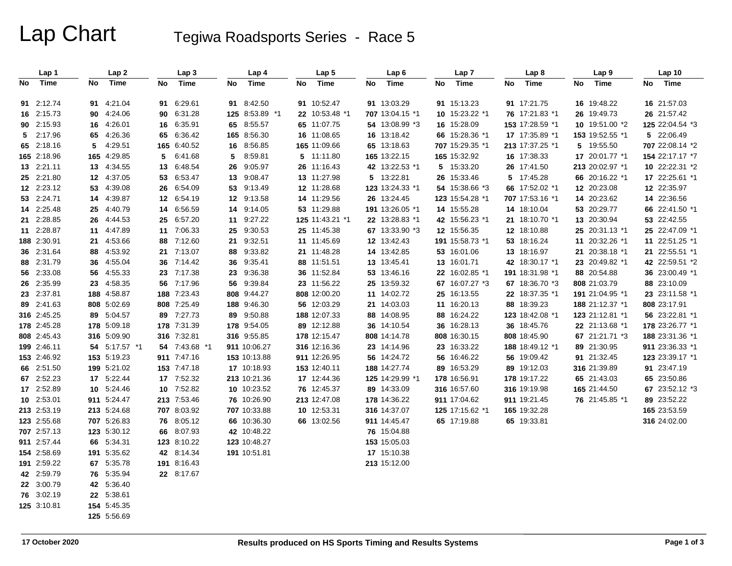# Lap Chart Tegiwa Roadsports Series - Race 5

|    | Lap 1       |    | Lap2          |    | Lap <sub>3</sub> |    | Lap 4          |    | Lap <sub>5</sub> |    | Lap <sub>6</sub> |    | Lap <sub>7</sub> |    | Lap <sub>8</sub> |    | Lap <sub>9</sub> |    | Lap10           |
|----|-------------|----|---------------|----|------------------|----|----------------|----|------------------|----|------------------|----|------------------|----|------------------|----|------------------|----|-----------------|
| No | Time        | No | Time          | No | Time             | No | Time           | No | Time             | No | <b>Time</b>      | No | Time             | No | Time             | No | Time             | No | Time            |
|    |             |    |               |    |                  |    |                |    |                  |    |                  |    |                  |    |                  |    |                  |    |                 |
|    | 91 2:12.74  |    | 91 4:21.04    |    | 91 6:29.61       |    | 91 8:42.50     |    | 91 10:52.47      |    | 91 13:03.29      |    | 91 15:13.23      |    | 91 17:21.75      |    | 16 19:48.22      |    | 16 21:57.03     |
|    | 16 2:15.73  |    | 90 4:24.06    |    | 90 6:31.28       |    | 125 8:53.89 *1 |    | 22 10:53.48 *1   |    | 707 13:04.15 *1  |    | 10 15:23.22 *1   |    | 76 17:21.83 *1   |    | 26 19:49.73      |    | 26 21:57.42     |
|    | 90 2:15.93  |    | 16 4:26.01    |    | 16 6:35.91       | 65 | 8:55.57        |    | 65 11:07.75      |    | 54 13:08.99 *3   |    | 16 15:28.09      |    | 153 17:28.59 *1  |    | 10 19:51.00 *2   |    | 125 22:04.54 *3 |
|    | 5 2:17.96   |    | 65 4:26.36    |    | 65 6:36.42       |    | 165 8:56.30    |    | 16 11:08.65      |    | 16 13:18.42      |    | 66 15:28.36 *1   |    | 17 17:35.89 *1   |    | 153 19:52.55 *1  |    | 5 22:06.49      |
|    | 65 2:18.16  | 5  | 4:29.51       |    | 165 6:40.52      | 16 | 8:56.85        |    | 165 11:09.66     |    | 65 13:18.63      |    | 707 15:29.35 *1  |    | 213 17:37.25 *1  |    | 5 19:55.50       |    | 707 22:08.14 *2 |
|    | 165 2:18.96 |    | 165 4:29.85   | 5  | 6:41.68          | 5  | 8:59.81        |    | 5 11:11.80       |    | 165 13:22.15     |    | 165 15:32.92     |    | 16 17:38.33      |    | 17 20:01.77 *1   |    | 154 22:17.17 *7 |
|    | 13 2:21.11  |    | 13 4:34.55    | 13 | 6:48.54          | 26 | 9:05.97        |    | 26 11:16.43      |    | 42 13:22.53 *1   |    | 5 15:33.20       |    | 26 17:41.50      |    | 213 20:02.97 *1  |    | 10 22:22.31 *2  |
|    | 25 2:21.80  |    | 12 4:37.05    | 53 | 6:53.47          | 13 | 9:08.47        |    | 13 11:27.98      |    | 5 13:22.81       |    | 26 15:33.46      |    | 5 17:45.28       |    | 66 20:16.22 *1   |    | 17 22:25.61 *1  |
|    | 12 2:23.12  |    | 53 4:39.08    |    | 26 6:54.09       | 53 | 9:13.49        |    | 12 11:28.68      |    | 123 13:24.33 *1  |    | 54 15:38.66 *3   |    | 66 17:52.02 *1   |    | 12 20:23.08      |    | 12 22:35.97     |
|    | 53 2:24.71  |    | 14 4:39.87    |    | 12 6:54.19       | 12 | 9:13.58        |    | 14 11:29.56      |    | 26 13:24.45      |    | 123 15:54.28 *1  |    | 707 17:53.16 *1  |    | 14 20:23.62      |    | 14 22:36.56     |
|    | 14 2:25.48  |    | 25 4:40.79    | 14 | 6:56.59          | 14 | 9:14.05        |    | 53 11:29.88      |    | 191 13:26.05 *1  |    | 14 15:55.28      |    | 14 18:10.04      |    | 53 20:29.77      |    | 66 22:41.50 *1  |
|    | 21 2:28.85  |    | 26 4:44.53    | 25 | 6:57.20          | 11 | 9:27.22        |    | 125 11:43.21 *1  |    | 22 13:28.83 *1   |    | 42 15:56.23 *1   |    | 21 18:10.70 *1   |    | 13 20:30.94      |    | 53 22:42.55     |
|    | 11 2:28.87  |    | 11 4:47.89    |    | 11 7:06.33       | 25 | 9:30.53        |    | 25 11:45.38      |    | 67 13:33.90 *3   |    | 12 15:56.35      |    | 12 18:10.88      |    | 25 20:31.13 *1   |    | 25 22:47.09 *1  |
|    | 188 2:30.91 |    | 21 4:53.66    |    | 88 7:12.60       | 21 | 9:32.51        |    | 11 11:45.69      |    | 12 13:42.43      |    | 191 15:58.73 *1  |    | 53 18:16.24      |    | 11 20:32.26 *1   |    | 11 22:51.25 *1  |
|    | 36 2:31.64  | 88 | 4:53.92       |    | 21 7:13.07       | 88 | 9:33.82        |    | 21 11:48.28      |    | 14 13:42.85      |    | 53 16:01.06      |    | 13 18:16.97      |    | 21 20:38.18 *1   |    | 21 22:55.51 *1  |
|    | 88 2:31.79  | 36 | 4:55.04       |    | 36 7:14.42       | 36 | 9:35.41        |    | 88 11:51.51      |    | 13 13:45.41      |    | 13 16:01.71      |    | 42 18:30.17 *1   |    | 23 20:49.82 *1   |    | 42 22:59.51 *2  |
|    | 56 2:33.08  |    | 56 4:55.33    |    | 23 7:17.38       | 23 | 9:36.38        |    | 36 11:52.84      |    | 53 13:46.16      |    | 22 16:02.85 *1   |    | 191 18:31.98 *1  |    | 88 20:54.88      |    | 36 23:00.49 *1  |
|    | 26 2:35.99  |    | 23 4:58.35    |    | 56 7:17.96       | 56 | 9:39.84        |    | 23 11:56.22      |    | 25 13:59.32      |    | 67 16:07.27 *3   |    | 67 18:36.70 *3   |    | 808 21:03.79     |    | 88 23:10.09     |
|    | 23 2:37.81  |    | 188 4:58.87   |    | 188 7:23.43      |    | 808 9:44.27    |    | 808 12:00.20     |    | 11 14:02.72      |    | 25 16:13.55      |    | 22 18:37.35 *1   |    | 191 21:04.95 *1  |    | 23 23:11.58 *1  |
|    | 89 2:41.63  |    | 808 5:02.69   |    | 808 7:25.49      |    | 188 9:46.30    |    | 56 12:03.29      |    | 21 14:03.03      |    | 11 16:20.13      |    | 88 18:39.23      |    | 188 21:12.37 *1  |    | 808 23:17.91    |
|    | 316 2:45.25 |    | 89 5:04.57    |    | 89 7:27.73       | 89 | 9:50.88        |    | 188 12:07.33     |    | 88 14:08.95      |    | 88 16:24.22      |    | 123 18:42.08 *1  |    | 123 21:12.81 *1  |    | 56 23:22.81 *1  |
|    | 178 2:45.28 |    | 178 5:09.18   |    | 178 7:31.39      |    | 178 9:54.05    |    | 89 12:12.88      |    | 36 14:10.54      |    | 36 16:28.13      |    | 36 18:45.76      |    | 22 21:13.68 *1   |    | 178 23:26.77 *1 |
|    | 808 2:45.43 |    | 316 5:09.90   |    | 316 7:32.81      |    | 316 9:55.85    |    | 178 12:15.47     |    | 808 14:14.78     |    | 808 16:30.15     |    | 808 18:45.90     |    | 67 21:21.71 *3   |    | 188 23:31.36 *1 |
|    | 199 2:46.11 |    | 54 5:17.57 *1 |    | 54 7:43.68 *1    |    | 911 10:06.27   |    | 316 12:16.36     |    | 23 14:14.96      |    | 23 16:33.22      |    | 188 18:49.12 *1  |    | 89 21:30.95      |    | 911 23:36.33 *1 |
|    | 153 2:46.92 |    | 153 5:19.23   |    | 911 7:47.16      |    | 153 10:13.88   |    | 911 12:26.95     |    | 56 14:24.72      |    | 56 16:46.22      |    | 56 19:09.42      |    | 91 21:32.45      |    | 123 23:39.17 *1 |
|    | 66 2:51.50  |    | 199 5:21.02   |    | 153 7:47.18      |    | 17 10:18.93    |    | 153 12:40.11     |    | 188 14:27.74     |    | 89 16:53.29      |    | 89 19:12.03      |    | 316 21:39.89     |    | 91 23:47.19     |
|    | 67 2:52.23  |    | 17 5:22.44    |    | 17 7:52.32       |    | 213 10:21.36   |    | 17 12:44.36      |    | 125 14:29.99 *1  |    | 178 16:56.91     |    | 178 19:17.22     |    | 65 21:43.03      |    | 65 23:50.86     |
|    | 17 2:52.89  |    | 10 5:24.46    |    | 10 7:52.82       |    | 10 10:23.52    |    | 76 12:45.37      |    | 89 14:33.09      |    | 316 16:57.60     |    | 316 19:19.98     |    | 165 21:44.50     |    | 67 23:52.12 *3  |
|    | 10 2:53.01  |    | 911 5:24.47   |    | 213 7:53.46      |    | 76 10:26.90    |    | 213 12:47.08     |    | 178 14:36.22     |    | 911 17:04.62     |    | 911 19:21.45     |    | 76 21:45.85 *1   |    | 89 23:52.22     |
|    | 213 2:53.19 |    | 213 5:24.68   |    | 707 8:03.92      |    | 707 10:33.88   |    | 10 12:53.31      |    | 316 14:37.07     |    | 125 17:15.62 *1  |    | 165 19:32.28     |    |                  |    | 165 23:53.59    |
|    | 123 2:55.68 |    | 707 5:26.83   |    | 76 8:05.12       |    | 66 10:36.30    |    | 66 13:02.56      |    | 911 14:45.47     |    | 65 17:19.88      |    | 65 19:33.81      |    |                  |    | 316 24:02.00    |
|    | 707 2:57.13 |    | 123 5:30.12   |    | 66 8:07.93       |    | 42 10:48.22    |    |                  |    | 76 15:04.88      |    |                  |    |                  |    |                  |    |                 |
|    | 911 2:57.44 |    | 66 5:34.31    |    | 123 8:10.22      |    | 123 10:48.27   |    |                  |    | 153 15:05.03     |    |                  |    |                  |    |                  |    |                 |
|    | 154 2:58.69 |    | 191 5:35.62   |    | 42 8:14.34       |    | 191 10:51.81   |    |                  |    | 17 15:10.38      |    |                  |    |                  |    |                  |    |                 |
|    | 191 2:59.22 |    | 67 5:35.78    |    | 191 8:16.43      |    |                |    |                  |    | 213 15:12.00     |    |                  |    |                  |    |                  |    |                 |
|    | 42 2:59.79  |    | 76 5:35.94    |    | 22 8:17.67       |    |                |    |                  |    |                  |    |                  |    |                  |    |                  |    |                 |
|    | 22 3:00.79  |    | 42 5:36.40    |    |                  |    |                |    |                  |    |                  |    |                  |    |                  |    |                  |    |                 |
|    | 76 3:02.19  |    | 22 5:38.61    |    |                  |    |                |    |                  |    |                  |    |                  |    |                  |    |                  |    |                 |
|    | 125 3:10.81 |    | 154 5:45.35   |    |                  |    |                |    |                  |    |                  |    |                  |    |                  |    |                  |    |                 |
|    |             |    | 125 5:56.69   |    |                  |    |                |    |                  |    |                  |    |                  |    |                  |    |                  |    |                 |
|    |             |    |               |    |                  |    |                |    |                  |    |                  |    |                  |    |                  |    |                  |    |                 |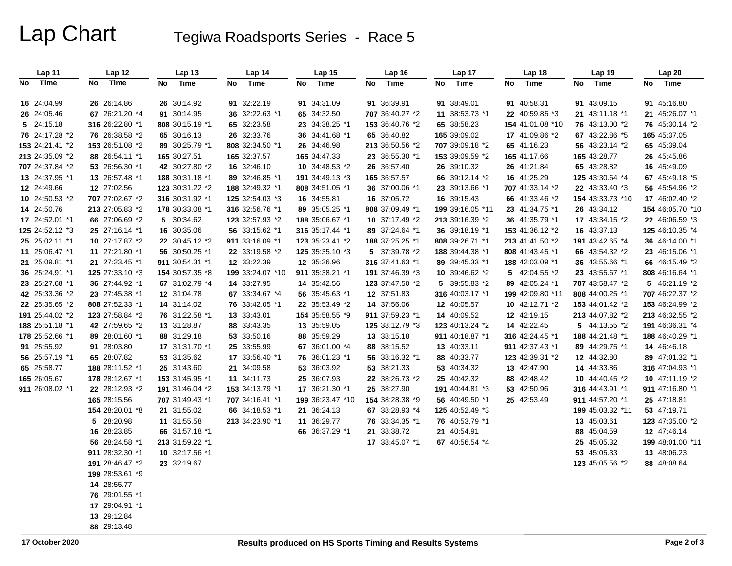# Lap Chart Tegiwa Roadsports Series - Race 5

| Lap 11          | Lap 12          | Lap <sub>13</sub> | Lap 14           | Lap 15           | Lap 16          | Lap 17           | Lap <sub>18</sub> | Lap 19           | Lap 20           |
|-----------------|-----------------|-------------------|------------------|------------------|-----------------|------------------|-------------------|------------------|------------------|
| No Time         | Time<br>No      | Time<br>No        | Time<br>No       | Time<br>No       | Time<br>No      | Time<br>No       | Time<br>No        | Time<br>No       | Time<br>No       |
| 16 24:04.99     | 26 26:14.86     | 26 30:14.92       | 91 32:22.19      | 91 34:31.09      | 91 36:39.91     | 91 38:49.01      | 91 40:58.31       | 91 43:09.15      | 91 45:16.80      |
| 26 24:05.46     | 67 26:21.20 *4  | 91 30:14.95       | 36 32:22.63 *1   | 65 34:32.50      | 707 36:40.27 *2 | 11 38:53.73 *1   | 22 40:59.85 *3    | 21 43:11.18 *1   | 21 45:26.07 *1   |
| 5 24:15.18      | 316 26:22.80 *1 | 808 30:15.19 *1   | 65 32:23.58      | 23 34:38.25 *1   | 153 36:40.76 *2 | 65 38:58.23      | 154 41:01.08 *10  | 76 43:13.00 *2   | 76 45:30.14 *2   |
| 76 24:17.28 *2  | 76 26:38.58 *2  | 65 30:16.13       | 26 32:33.76      | 36 34:41.68 *1   | 65 36:40.82     | 165 39:09.02     | 17 41:09.86 *2    | 67 43:22.86 *5   | 165 45:37.05     |
| 153 24:21.41 *2 | 153 26:51.08 *2 | 89 30:25.79 *1    | 808 32:34.50 *1  | 26 34:46.98      | 213 36:50.56 *2 | 707 39:09.18 *2  | 65 41:16.23       | 56 43:23.14 *2   | 65 45:39.04      |
| 213 24:35.09 *2 | 88 26:54.11 *1  | 165 30:27.51      | 165 32:37.57     | 165 34:47.33     | 23 36:55.30 *1  | 153 39:09.59 *2  | 165 41:17.66      | 165 43:28.77     | 26 45:45.86      |
| 707 24:37.84 *2 | 53 26:56.30 *1  | 42 30:27.80 *2    | 16 32:46.10      | 10 34:48.53 *2   | 26 36:57.40     | 26 39:10.32      | 26 41:21.84       | 65 43:28.82      | 16 45:49.09      |
| 13 24:37.95 *1  | 13 26:57.48 *1  | 188 30:31.18 *1   | 89 32:46.85 *1   | 191 34:49.13 *3  | 165 36:57.57    | 66 39:12.14 *2   | 16 41:25.29       | 125 43:30.64 *4  | 67 45:49.18 *5   |
| 12 24:49.66     | 12 27:02.56     | 123 30:31.22 *2   | 188 32:49.32 *1  | 808 34:51.05 *1  | 36 37:00.06 *1  | 23 39:13.66 *1   | 707 41:33.14 *2   | 22 43:33.40 *3   | 56 45:54.96 *2   |
| 10 24:50.53 *2  | 707 27:02.67 *2 | 316 30:31.92 *1   | 125 32:54.03 *3  | 16 34:55.81      | 16 37:05.72     | 16 39:15.43      | 66 41:33.46 *2    | 154 43:33.73 *10 | 17 46:02.40 *2   |
| 14 24:50.76     | 213 27:05.83 *2 | 178 30:33.08 *1   | 316 32:56.76 *1  | 89 35:05.25 *1   | 808 37:09.49 *1 | 199 39:16.05 *11 | 23 41:34.75 *1    | 26 43:34.12      | 154 46:05.70 *10 |
| 17 24:52.01 *1  | 66 27:06.69 *2  | 5 30:34.62        | 123 32:57.93 *2  | 188 35:06.67 *1  | 10 37:17.49 *2  | 213 39:16.39 *2  | 36 41:35.79 *1    | 17 43:34.15 *2   | 22 46:06.59 *3   |
| 125 24:52.12 *3 | 25 27:16.14 *1  | 16 30:35.06       | 56 33:15.62 *1   | 316 35:17.44 *1  | 89 37:24.64 *1  | 36 39:18.19 *1   | 153 41:36.12 *2   | 16 43:37.13      | 125 46:10.35 *4  |
| 25 25:02.11 *1  | 10 27:17.87 *2  | 22 30:45.12 *2    | 911 33:16.09 *1  | 123 35:23.41 *2  | 188 37:25.25 *1 | 808 39:26.71 *1  | 213 41:41.50 *2   | 191 43:42.65 *4  | 36 46:14.00 *1   |
| 11 25:06.47 *1  | 11 27:21.80 *1  | 56 30:50.25 *1    | 22 33:19.58 *2   | 125 35:35.10 *3  | 5 37:39.78 *2   | 188 39:44.38 *1  | 808 41:43.45 *1   | 66 43:54.32 *2   | 23 46:15.06 *1   |
| 21 25:09.81 *1  | 21 27:23.45 *1  | 911 30:54.31 *1   | 12 33:22.39      | 12 35:36.96      | 316 37:41.63 *1 | 89 39:45.33 *1   | 188 42:03.09 *1   | 36 43:55.66 *1   | 66 46:15.49 *2   |
| 36 25:24.91 *1  | 125 27:33.10 *3 | 154 30:57.35 *8   | 199 33:24.07 *10 | 911 35:38.21 *1  | 191 37:46.39 *3 | 10 39:46.62 *2   | 5 42:04.55 *2     | 23 43:55.67 *1   | 808 46:16.64 *1  |
| 23 25:27.68 *1  | 36 27:44.92 *1  | 67 31:02.79 *4    | 14 33:27.95      | 14 35:42.56      | 123 37:47.50 *2 | 5 39:55.83 *2    | 89 42:05.24 *1    | 707 43:58.47 *2  | 5 46:21.19 *2    |
| 42 25:33.36 *2  | 23 27:45.38 *1  | 12 31:04.78       | 67 33:34.67 *4   | 56 35:45.63 *1   | 12 37:51.83     | 316 40:03.17 *1  | 199 42:09.80 *11  | 808 44:00.25 *1  | 707 46:22.37 *2  |
| 22 25:35.65 *2  | 808 27:52.33 *1 | 14 31:14.02       | 76 33:42.05 *1   | 22 35:53.49 *2   | 14 37:56.06     | 12 40:05.57      | 10 42:12.71 *2    | 153 44:01.42 *2  | 153 46:24.99 *2  |
| 191 25:44.02 *2 | 123 27:58.84 *2 | 76 31:22.58 *1    | 13 33:43.01      | 154 35:58.55 *9  | 911 37:59.23 *1 | 14 40:09.52      | 12 42:19.15       | 213 44:07.82 *2  | 213 46:32.55 *2  |
| 188 25:51.18 *1 | 42 27:59.65 *2  | 13 31:28.87       | 88 33:43.35      | 13 35:59.05      | 125 38:12.79 *3 | 123 40:13.24 *2  | 14 42:22.45       | 5 44:13.55 *2    | 191 46:36.31 *4  |
| 178 25:52.66 *1 | 89 28:01.60 *1  | 88 31:29.18       | 53 33:50.16      | 88 35:59.29      | 13 38:15.18     | 911 40:18.87 *1  | 316 42:24.45 *1   | 188 44:21.48 *1  | 188 46:40.29 *1  |
| 91 25:55.92     | 91 28:03.80     | 17 31:31.70 *1    | 25 33:55.99      | 67 36:01.00 *4   | 88 38:15.52     | 13 40:33.11      | 911 42:37.43 *1   | 89 44:29.75 *1   | 14 46:46.18      |
| 56 25:57.19 *1  | 65 28:07.82     | 53 31:35.62       | 17 33:56.40 *1   | 76 36:01.23 *1   | 56 38:16.32 *1  | 88 40:33.77      | 123 42:39.31 *2   | 12 44:32.80      | 89 47:01.32 *1   |
| 65 25:58.77     | 188 28:11.52 *1 | 25 31:43.60       | 21 34:09.58      | 53 36:03.92      | 53 38:21.33     | 53 40:34.32      | 13 42:47.90       | 14 44:33.86      | 316 47:04.93 *1  |
| 165 26:05.67    | 178 28:12.67 *1 | 153 31:45.95 *1   | 11 34:11.73      | 25 36:07.93      | 22 38:26.73 *2  | 25 40:42.32      | 88 42:48.42       | 10 44:40.45 *2   | 10 47:11.19 *2   |
| 911 26:08.02 *1 | 22 28:12.93 *2  | 191 31:46.04 *2   | 153 34:13.79 *1  | 17 36:21.30 *1   | 25 38:27.90     | 191 40:44.81 *3  | 53 42:50.96       | 316 44:43.91 *1  | 911 47:16.80 *1  |
|                 | 165 28:15.56    | 707 31:49.43 *1   | 707 34:16.41 *1  | 199 36:23.47 *10 | 154 38:28.38 *9 | 56 40:49.50 *1   | 25 42:53.49       | 911 44:57.20 *1  | 25 47:18.81      |
|                 | 154 28:20.01 *8 | 21 31:55.02       | 66 34:18.53 *1   | 21 36:24.13      | 67 38:28.93 *4  | 125 40:52.49 *3  |                   | 199 45:03.32 *11 | 53 47:19.71      |
|                 | 5 28:20.98      | 11 31:55.58       | 213 34:23.90 *1  | 11 36:29.77      | 76 38:34.35 *1  | 76 40:53.79 *1   |                   | 13 45:03.61      | 123 47:35.00 *2  |
|                 | 16 28:23.85     | 66 31:57.18 *1    |                  | 66 36:37.29 *1   | 21 38:38.72     | 21 40:54.91      |                   | 88 45:04.59      | 12 47:46.14      |
|                 | 56 28:24.58 *1  | 213 31:59.22 *1   |                  |                  | 17 38:45.07 *1  | 67 40:56.54 *4   |                   | 25 45:05.32      | 199 48:01.00 *11 |
|                 | 911 28:32.30 *1 | 10 32:17.56 *1    |                  |                  |                 |                  |                   | 53 45:05.33      | 13 48:06.23      |
|                 | 191 28:46.47 *2 | 23 32:19.67       |                  |                  |                 |                  |                   | 123 45:05.56 *2  | 88 48:08.64      |
|                 | 199 28:53.61 *9 |                   |                  |                  |                 |                  |                   |                  |                  |
|                 | 14 28:55.77     |                   |                  |                  |                 |                  |                   |                  |                  |
|                 | 76 29:01.55 *1  |                   |                  |                  |                 |                  |                   |                  |                  |
|                 | 17 29:04.91 *1  |                   |                  |                  |                 |                  |                   |                  |                  |
|                 | 13 29:12.84     |                   |                  |                  |                 |                  |                   |                  |                  |
|                 | 88 29:13.48     |                   |                  |                  |                 |                  |                   |                  |                  |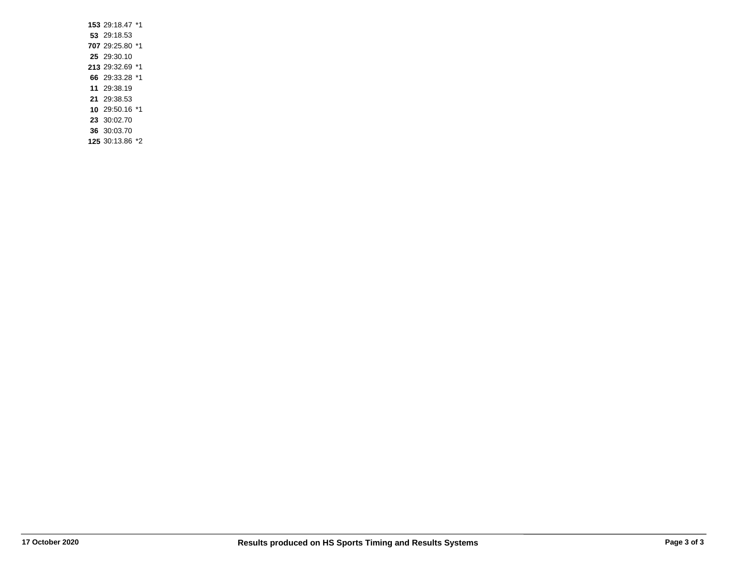| 153 29:18.47 *1 |  |
|-----------------|--|
| 53 29:18.53     |  |
| 707 29:25.80 *1 |  |
| 25 29:30.10     |  |
| 213 29:32.69 *1 |  |
| 66 29:33.28 *1  |  |
| 11 29:38.19     |  |
| 21 29:38.53     |  |
| 10 29:50.16 *1  |  |
| 23 30:02.70     |  |
| 36 30:03.70     |  |

**125** 30:13.86 \*2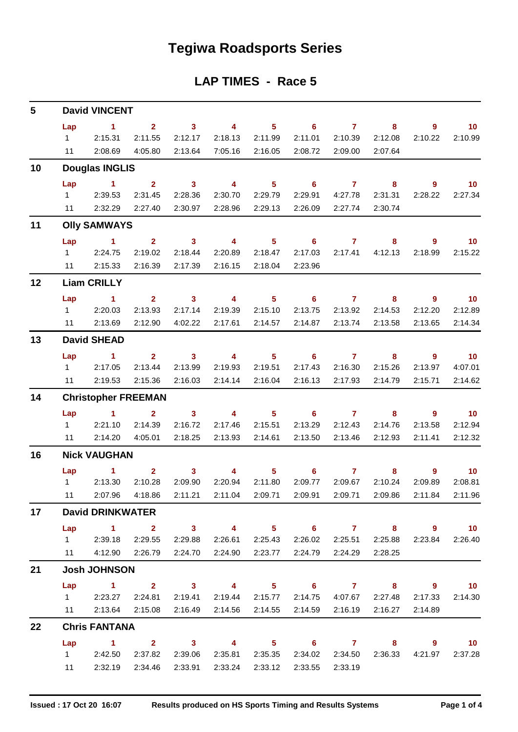# **Tegiwa Roadsports Series**

### **LAP TIMES - Race 5**

| 5               | <b>David VINCENT</b>       |                                                                 |                |                         |                           |                 |                            |                         |                                             |                |                 |  |  |  |
|-----------------|----------------------------|-----------------------------------------------------------------|----------------|-------------------------|---------------------------|-----------------|----------------------------|-------------------------|---------------------------------------------|----------------|-----------------|--|--|--|
|                 | Lap                        | $\sim$ 1                                                        | 2 <sup>1</sup> | 3 <sup>1</sup>          | $\overline{\mathbf{4}}$   | 5 <sub>5</sub>  | 6                          | $\mathbf{7}$            | 8                                           | 9              | 10              |  |  |  |
|                 | $1 \quad$                  | 2:15.31                                                         | 2:11.55        | 2:12.17                 | 2:18.13                   | 2:11.99         | 2:11.01                    | 2:10.39                 | 2:12.08                                     | 2:10.22        | 2:10.99         |  |  |  |
|                 | 11                         | 2:08.69                                                         | 4:05.80        | 2:13.64                 | 7:05.16                   | 2:16.05         | 2:08.72                    | 2:09.00                 | 2:07.64                                     |                |                 |  |  |  |
| 10              | <b>Douglas INGLIS</b>      |                                                                 |                |                         |                           |                 |                            |                         |                                             |                |                 |  |  |  |
|                 | Lap                        | $\sim$ 1                                                        | 2 <sup>1</sup> | $\mathbf{3}$            | $\overline{4}$            | 5 <sup>5</sup>  | $6\phantom{1}$             | $\overline{7}$          | 8                                           | $\overline{9}$ | 10 <sub>1</sub> |  |  |  |
|                 | $1 \quad \Box$             | 2:39.53                                                         | 2:31.45        | 2:28.36                 | 2:30.70                   | 2:29.79         | 2:29.91                    | 4:27.78                 | 2:31.31                                     | 2:28.22        | 2:27.34         |  |  |  |
|                 | 11                         | 2:32.29                                                         | 2:27.40        | 2:30.97                 | 2:28.96                   | 2:29.13         | 2:26.09                    | 2:27.74                 | 2:30.74                                     |                |                 |  |  |  |
| 11              |                            | <b>Olly SAMWAYS</b>                                             |                |                         |                           |                 |                            |                         |                                             |                |                 |  |  |  |
|                 | Lap                        | $\sim$ 1                                                        | 2 <sup>1</sup> | $\overline{\mathbf{3}}$ | $\overline{\mathbf{4}}$   | 5 <sub>5</sub>  | $\overline{\phantom{0}}$ 6 | $\mathbf{7}$            | 8                                           | 9              | 10              |  |  |  |
|                 | $1 \quad$                  | 2:24.75                                                         | 2:19.02        | 2:18.44                 | 2:20.89                   | 2:18.47         | 2:17.03                    | 2:17.41                 | 4:12.13                                     | 2:18.99        | 2:15.22         |  |  |  |
|                 | 11                         | 2:15.33                                                         | 2:16.39        | 2:17.39                 | 2:16.15                   | 2:18.04         | 2:23.96                    |                         |                                             |                |                 |  |  |  |
| 12              |                            | <b>Liam CRILLY</b>                                              |                |                         |                           |                 |                            |                         |                                             |                |                 |  |  |  |
|                 | Lap                        | $\sim$ 1                                                        | 2 <sup>7</sup> | $\mathbf{3}$            | $\overline{4}$            | 5 <sup>5</sup>  | $6^{\circ}$                | $\mathbf{7}$            | 8                                           | $\overline{9}$ | 10              |  |  |  |
|                 |                            | 12:20.03                                                        | 2:13.93        | 2:17.14                 | 2:19.39                   | 2:15.10         | 2:13.75                    | 2:13.92                 | 2:14.53                                     | 2:12.20        | 2:12.89         |  |  |  |
|                 | 11                         | 2:13.69                                                         | 2:12.90        | 4:02.22                 | 2:17.61                   | 2:14.57         | 2:14.87                    | 2:13.74                 | 2:13.58                                     | 2:13.65        | 2:14.34         |  |  |  |
| 13              | <b>David SHEAD</b>         |                                                                 |                |                         |                           |                 |                            |                         |                                             |                |                 |  |  |  |
|                 | Lap                        | $\sim$ 1                                                        | $\mathbf{2}$   | $\overline{\mathbf{3}}$ | $\overline{4}$            | 5 <sup>5</sup>  | $\overline{\phantom{0}}$ 6 | $\mathbf{7}$            | 8                                           | $\overline{9}$ | $\overline{10}$ |  |  |  |
|                 | $1 \quad$                  | 2:17.05                                                         | 2:13.44        | 2:13.99                 | 2:19.93                   | 2:19.51         | 2:17.43                    | 2:16.30                 | 2:15.26                                     | 2:13.97        | 4:07.01         |  |  |  |
|                 | 11                         | 2:19.53                                                         | 2:15.36        | 2:16.03                 | 2:14.14                   | 2:16.04         | 2:16.13                    | 2:17.93                 | 2:14.79                                     | 2:15.71        | 2:14.62         |  |  |  |
| 14              | <b>Christopher FREEMAN</b> |                                                                 |                |                         |                           |                 |                            |                         |                                             |                |                 |  |  |  |
|                 | Lap                        | $\sim$ 1                                                        | 2 <sup>1</sup> | $\mathbf{3}$            | $\overline{4}$            | 5 <sup>5</sup>  | 6                          | $\mathbf{7}$            | 8                                           | $\overline{9}$ | 10              |  |  |  |
|                 | $1 \quad \Box$             | 2:21.10                                                         | 2:14.39        | 2:16.72                 | 2:17.46                   | 2:15.51         | 2:13.29                    | 2:12.43                 | 2:14.76                                     | 2:13.58        | 2:12.94         |  |  |  |
|                 | 11                         | 2:14.20                                                         | 4:05.01        | 2:18.25                 | 2:13.93                   | 2:14.61         | 2:13.50                    | 2:13.46                 | 2:12.93                                     | 2:11.41        | 2:12.32         |  |  |  |
| 16              | <b>Nick VAUGHAN</b>        |                                                                 |                |                         |                           |                 |                            |                         |                                             |                |                 |  |  |  |
|                 | Lap                        | 1.                                                              | $\overline{2}$ | $\mathbf{3}$            | $\overline{4}$            | 5               | 6                          | $\overline{7}$          | 8                                           | 9              | 10 <sup>°</sup> |  |  |  |
|                 | $1 \quad \Box$             | 2:13.30                                                         | 2:10.28        | 2:09.90                 | 2:20.94                   | 2:11.80         | 2:09.77                    | 2:09.67                 | 2:10.24                                     | 2:09.89        | 2:08.81         |  |  |  |
|                 | 11                         | 2:07.96                                                         | 4:18.86        |                         | 2:11.21  2:11.04          | 2:09.71         |                            |                         | 2:09.86                                     | 2:11.84        | 2:11.96         |  |  |  |
| 17 <sup>1</sup> |                            | <b>David DRINKWATER</b>                                         |                |                         |                           |                 |                            |                         |                                             |                |                 |  |  |  |
|                 |                            | Lap 1 2 3 4 5 6 7 8 9 10                                        |                |                         |                           |                 |                            |                         |                                             |                |                 |  |  |  |
|                 |                            | 1 2:39.18 2:29.55                                               |                | 2:29.88                 |                           | 2:26.61 2:25.43 |                            |                         | 2:26.02 2:25.51 2:25.88                     |                | 2:23.84 2:26.40 |  |  |  |
|                 |                            | 11  4:12.90  2:26.79  2:24.70  2:24.90  2:23.77                 |                |                         |                           |                 |                            | 2:24.79 2:24.29 2:28.25 |                                             |                |                 |  |  |  |
| 21              |                            | <b>Josh JOHNSON</b>                                             |                |                         |                           |                 |                            |                         |                                             |                |                 |  |  |  |
|                 | Lap                        | 1 2 3 4 5 6 7 8 9 10                                            |                |                         |                           |                 |                            |                         |                                             |                |                 |  |  |  |
|                 |                            | 2:23.27 2:24.81 2:19.41 2:19.44 2:15.77 2:14.75 4:07.67 2:27.48 |                |                         |                           |                 |                            |                         |                                             | 2:17.33        | 2:14.30         |  |  |  |
|                 |                            | 11 2:13.64 2:15.08                                              |                |                         | 2:16.49  2:14.56  2:14.55 |                 |                            | 2:14.59 2:16.19         | 2:16.27                                     | 2:14.89        |                 |  |  |  |
| 22              |                            | <b>Chris FANTANA</b>                                            |                |                         |                           |                 |                            |                         |                                             |                |                 |  |  |  |
|                 |                            | Lap 1 2 3 4 5 6 7 8 9 10                                        |                |                         |                           |                 |                            |                         |                                             |                |                 |  |  |  |
|                 |                            | 1 2:42.50 2:37.82                                               |                | 2:39.06                 |                           | 2:35.81 2:35.35 |                            |                         | 2:34.02  2:34.50  2:36.33  4:21.97  2:37.28 |                |                 |  |  |  |
|                 |                            | 11 2:32.19 2:34.46                                              |                | 2:33.91                 |                           | 2:33.24 2:33.12 |                            | 2:33.55 2:33.19         |                                             |                |                 |  |  |  |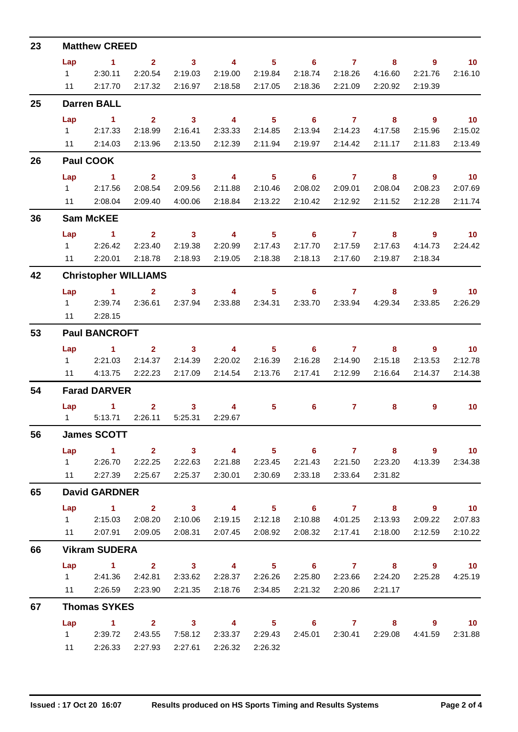| 23 | <b>Matthew CREED</b> |                                                                             |                |                         |                         |                 |                            |                 |                         |                            |                   |  |  |
|----|----------------------|-----------------------------------------------------------------------------|----------------|-------------------------|-------------------------|-----------------|----------------------------|-----------------|-------------------------|----------------------------|-------------------|--|--|
|    | Lap                  | $\sim$ 1                                                                    | $\mathbf{2}$   | $\overline{\mathbf{3}}$ |                         |                 | 4 5 6 7                    |                 | 8                       | - 9                        | $\overline{10}$   |  |  |
|    | $1 \quad \Box$       | 2:30.11                                                                     | 2:20.54        | 2:19.03                 | 2:19.00                 | 2:19.84         | 2:18.74                    | 2:18.26         | 4:16.60                 | 2:21.76                    | 2:16.10           |  |  |
|    | 11                   | 2:17.70                                                                     | 2:17.32        | 2:16.97                 | 2:18.58 2:17.05         |                 |                            | 2:18.36 2:21.09 | 2:20.92                 | 2:19.39                    |                   |  |  |
| 25 | <b>Darren BALL</b>   |                                                                             |                |                         |                         |                 |                            |                 |                         |                            |                   |  |  |
|    | Lap                  | $\sim$ 1                                                                    | $2^{\circ}$    | $\sim$ 3                | $\overline{\mathbf{4}}$ | 5 <sub>1</sub>  | $\overline{\phantom{a}}$ 6 | $\overline{7}$  | 8                       | $\overline{\phantom{a}}$ 9 | $\overline{10}$   |  |  |
|    |                      | 12:17.33                                                                    | 2:18.99        | 2:16.41                 | 2:33.33                 | 2:14.85         |                            | 2:13.94 2:14.23 | 4:17.58                 | 2:15.96                    | 2:15.02           |  |  |
|    |                      | 11 2:14.03                                                                  | 2:13.96        | 2:13.50                 | 2:12.39                 | 2:11.94         | 2:19.97                    | 2:14.42         | 2:11.17                 | 2:11.83                    | 2:13.49           |  |  |
| 26 | Paul COOK            |                                                                             |                |                         |                         |                 |                            |                 |                         |                            |                   |  |  |
|    | Lap                  | $\sim$ 1                                                                    |                |                         | 2 3 4 5 6 7 8           |                 |                            |                 |                         | - 9                        | $\overline{10}$   |  |  |
|    |                      | 1 2:17.56                                                                   | 2:08.54        | 2:09.56                 | 2:11.88                 | 2:10.46         | 2:08.02                    | 2:09.01         | 2:08.04                 | 2:08.23                    | 2:07.69           |  |  |
|    |                      | 11 2:08.04                                                                  | 2:09.40        | 4:00.06                 |                         | 2:18.84 2:13.22 | 2:10.42                    | 2:12.92         | 2:11.52                 | 2:12.28                    | 2:11.74           |  |  |
| 36 |                      | <b>Sam McKEE</b>                                                            |                |                         |                         |                 |                            |                 |                         |                            |                   |  |  |
|    | Lap                  | $\sim$ 1                                                                    | $2^{\circ}$    | $\sim$ 3                | $\sim$ 4                | 5 <sub>5</sub>  | $\overline{\phantom{a}}$ 6 | $\overline{7}$  | 8                       | $\overline{\phantom{a}}$ 9 | $\overline{10}$   |  |  |
|    |                      | 12:26.42                                                                    | 2:23.40        | 2:19.38                 | 2:20.99                 | 2:17.43         | 2:17.70                    | 2:17.59         | 2:17.63                 | 4:14.73                    | 2:24.42           |  |  |
|    |                      | 11 2:20.01                                                                  | 2:18.78        | 2:18.93                 | 2:19.05                 | 2:18.38         | 2:18.13                    | 2:17.60         | 2:19.87                 | 2:18.34                    |                   |  |  |
| 42 |                      | <b>Christopher WILLIAMS</b>                                                 |                |                         |                         |                 |                            |                 |                         |                            |                   |  |  |
|    | Lap                  | $\sim$ 1 $\sim$ 2                                                           |                | $\overline{\mathbf{3}}$ |                         |                 | 4 5 6 7                    |                 | 8                       | - 9                        | $\overline{10}$   |  |  |
|    |                      | 1 2:39.74                                                                   | 2:36.61        | 2:37.94                 |                         | 2:33.88 2:34.31 |                            |                 | 2:33.70 2:33.94 4:29.34 | 2:33.85                    | 2:26.29           |  |  |
|    | 11                   | 2:28.15                                                                     |                |                         |                         |                 |                            |                 |                         |                            |                   |  |  |
| 53 | <b>Paul BANCROFT</b> |                                                                             |                |                         |                         |                 |                            |                 |                         |                            |                   |  |  |
|    | Lap                  | $\sim$ 1                                                                    | 2 <sup>7</sup> | $\overline{\mathbf{3}}$ | $\sim$ 4                | $5 -$           |                            | 67              | 8                       | $\overline{9}$             | $\blacksquare$ 10 |  |  |
|    |                      | 1 2:21.03                                                                   | 2:14.37        | 2:14.39                 |                         | 2:20.02 2:16.39 |                            | 2:16.28 2:14.90 | 2:15.18                 | 2:13.53                    | 2:12.78           |  |  |
|    |                      | 11 4:13.75                                                                  | 2:22.23        | 2:17.09                 | 2:14.54                 | 2:13.76         | 2:17.41                    | 2:12.99         | 2:16.64                 | 2:14.37                    | 2:14.38           |  |  |
| 54 | <b>Farad DARVER</b>  |                                                                             |                |                         |                         |                 |                            |                 |                         |                            |                   |  |  |
|    |                      | Lap 1                                                                       | $\overline{2}$ | $\overline{\mathbf{3}}$ | $\overline{\mathbf{4}}$ | 5               | 6                          | $\overline{7}$  | 8                       | 9                          | 10                |  |  |
|    | $1 \quad \Box$       | 5:13.71                                                                     | 2:26.11        | 5:25.31                 | 2:29.67                 |                 |                            |                 |                         |                            |                   |  |  |
| 56 | <b>James SCOTT</b>   |                                                                             |                |                         |                         |                 |                            |                 |                         |                            |                   |  |  |
|    | Lap                  | 1 2 3 4 5 6 7 8 9 10                                                        |                |                         |                         |                 |                            |                 |                         |                            |                   |  |  |
|    |                      | 1 2:26.70 2:22.25                                                           |                | 2:22.63                 |                         | 2:21.88 2:23.45 |                            |                 | 2:21.43 2:21.50 2:23.20 | 4:13.39                    | 2:34.38           |  |  |
|    |                      | 11  2:27.39  2:25.67                                                        |                |                         | 2:25.37 2:30.01 2:30.69 |                 |                            | 2:33.18 2:33.64 | 2:31.82                 |                            |                   |  |  |
| 65 | <b>David GARDNER</b> |                                                                             |                |                         |                         |                 |                            |                 |                         |                            |                   |  |  |
|    |                      | Lap 1 2 3 4 5 6 7 8 9 10                                                    |                |                         |                         |                 |                            |                 |                         |                            |                   |  |  |
|    |                      | 1 2:15.03 2:08.20                                                           |                | 2:10.06                 |                         | 2:19.15 2:12.18 |                            | 2:10.88 4:01.25 | 2:13.93                 | 2:09.22                    | 2:07.83           |  |  |
|    |                      | 11 2:07.91 2:09.05                                                          |                | 2:08.31                 |                         | 2:07.45 2:08.92 | 2:08.32                    | 2:17.41         | 2:18.00                 | 2:12.59                    | 2:10.22           |  |  |
| 66 |                      | <b>Vikram SUDERA</b>                                                        |                |                         |                         |                 |                            |                 |                         |                            |                   |  |  |
|    | Lap                  | $1 \qquad 2 \qquad 3 \qquad 4 \qquad 5 \qquad 6 \qquad 7 \qquad 8 \qquad 9$ |                |                         |                         |                 |                            |                 |                         |                            | $\overline{10}$   |  |  |
|    |                      | 1 2:41.36 2:42.81                                                           |                | 2:33.62                 | 2:28.37 2:26.26         |                 |                            |                 | 2:25.80 2:23.66 2:24.20 | 2:25.28                    | 4:25.19           |  |  |
|    |                      | 11 2:26.59 2:23.90                                                          |                | 2:21.35                 |                         | 2:18.76 2:34.85 |                            | 2:21.32 2:20.86 | 2:21.17                 |                            |                   |  |  |
| 67 |                      | <b>Thomas SYKES</b>                                                         |                |                         |                         |                 |                            |                 |                         |                            |                   |  |  |
|    |                      | Lap 1 2 3 4 5 6 7 8 9 10                                                    |                | 7:58.12                 |                         | 2:33.37 2:29.43 |                            |                 | 2:45.01 2:30.41 2:29.08 | 4:41.59                    |                   |  |  |
|    |                      | 1 2:39.72                                                                   | 2:43.55        |                         |                         |                 |                            |                 |                         |                            | 2:31.88           |  |  |
|    |                      | 11 2:26.33 2:27.93                                                          |                |                         | 2:27.61 2:26.32 2:26.32 |                 |                            |                 |                         |                            |                   |  |  |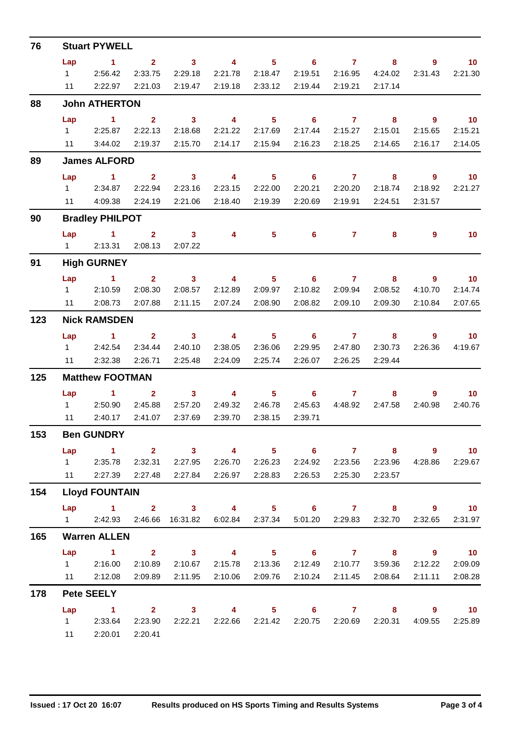| 76  | <b>Stuart PYWELL</b>                                          |                                                                    |                |                                                                 |                                         |                            |                            |                        |                                    |                                     |                                        |  |
|-----|---------------------------------------------------------------|--------------------------------------------------------------------|----------------|-----------------------------------------------------------------|-----------------------------------------|----------------------------|----------------------------|------------------------|------------------------------------|-------------------------------------|----------------------------------------|--|
|     | Lap                                                           | $\sim$ 1                                                           | 2 <sup>7</sup> | $\overline{\phantom{a}}$ 3                                      | $\overline{4}$                          |                            | $5 \t\t 6 \t\t 7$          |                        | 8                                  | 9                                   | 10                                     |  |
|     | $1 \quad \Box$                                                | 2:56.42                                                            | 2:33.75        | 2:29.18                                                         | 2:21.78                                 | 2:18.47                    | 2:19.51                    | 2:16.95                | 4:24.02                            | 2:31.43                             | 2:21.30                                |  |
|     | 11                                                            | 2:22.97                                                            | 2:21.03        | 2:19.47                                                         | 2:19.18                                 | 2:33.12                    | 2:19.44                    | 2:19.21                | 2:17.14                            |                                     |                                        |  |
| 88  | <b>John ATHERTON</b>                                          |                                                                    |                |                                                                 |                                         |                            |                            |                        |                                    |                                     |                                        |  |
|     | Lap                                                           | $\blacktriangleleft$                                               | 2 <sup>1</sup> | $\overline{\mathbf{3}}$                                         | $\overline{4}$                          | 5 <sub>1</sub>             | $\overline{\phantom{0}}$ 6 | $\overline{7}$         | 8                                  | $9^{\circ}$                         | $\overline{10}$                        |  |
|     |                                                               | 12:25.87                                                           | 2:22.13        | 2:18.68                                                         | 2:21.22                                 | 2:17.69                    | 2:17.44                    | 2:15.27                | 2:15.01                            | 2:15.65                             | 2:15.21                                |  |
|     |                                                               | 11 3:44.02                                                         | 2:19.37        | 2:15.70                                                         | 2:14.17                                 | 2:15.94                    | 2:16.23                    | 2:18.25                | 2:14.65                            | 2:16.17                             | 2:14.05                                |  |
| 89  | <b>James ALFORD</b>                                           |                                                                    |                |                                                                 |                                         |                            |                            |                        |                                    |                                     |                                        |  |
|     | Lap                                                           | $\sim$ 1.                                                          | 2 <sup>7</sup> | $\sim$ 3                                                        | $\overline{\mathbf{4}}$                 | $5 -$                      | $\overline{\phantom{a}}$ 6 | $\overline{7}$         | 8                                  | $\overline{\phantom{a}}$            | $\overline{\mathbf{10}}$               |  |
|     |                                                               | 12:34.87                                                           | 2:22.94        | 2:23.16                                                         | 2:23.15                                 | 2:22.00                    | 2:20.21                    | 2:20.20                | 2:18.74                            | 2:18.92                             | 2:21.27                                |  |
|     | 11                                                            | 4:09.38                                                            | 2:24.19        | 2:21.06                                                         | 2:18.40                                 | 2:19.39                    | 2:20.69                    | 2:19.91                | 2:24.51                            | 2:31.57                             |                                        |  |
| 90  |                                                               | <b>Bradley PHILPOT</b>                                             |                |                                                                 |                                         |                            |                            |                        |                                    |                                     |                                        |  |
|     | Lap                                                           | $\sim$ $\sim$ 1                                                    | $2^{\circ}$    | $\overline{\mathbf{3}}$                                         | $\overline{4}$                          | $\overline{\phantom{1}}$ 5 | $6^{\circ}$                | $\overline{7}$         | 8                                  | $\overline{9}$                      | 10                                     |  |
| 91  | 1 2:13.31 2:08.13<br>2:07.22<br><b>High GURNEY</b>            |                                                                    |                |                                                                 |                                         |                            |                            |                        |                                    |                                     |                                        |  |
|     |                                                               |                                                                    |                |                                                                 |                                         |                            |                            |                        |                                    |                                     |                                        |  |
|     | Lap                                                           | $1 \t 2 \t 3$<br>1 2:10.59                                         | 2:08.30        | 2:08.57                                                         | $\overline{\mathbf{4}}$<br>2:12.89      | 5 <sub>5</sub><br>2:09.97  | 2:10.82                    | $6\qquad 7$<br>2:09.94 | $\overline{\mathbf{8}}$<br>2:08.52 | $\overline{\phantom{a}}$<br>4:10.70 | $\overline{\phantom{0}}$ 10<br>2:14.74 |  |
|     | 11                                                            | 2:08.73                                                            | 2:07.88        | 2:11.15                                                         | 2:07.24                                 | 2:08.90                    | 2:08.82                    | 2:09.10                | 2:09.30                            | 2:10.84                             | 2:07.65                                |  |
| 123 | <b>Nick RAMSDEN</b>                                           |                                                                    |                |                                                                 |                                         |                            |                            |                        |                                    |                                     |                                        |  |
|     | Lap                                                           | $\sim$ 1.000 $\sim$ 1.000 $\sim$                                   | $\overline{2}$ | $\overline{\mathbf{3}}$                                         | $\overline{4}$                          | $\overline{\phantom{1}}$ 5 | $\overline{\phantom{a}}$ 6 | $\overline{7}$         | 8 <sup>1</sup>                     | $\overline{9}$                      | 10                                     |  |
|     | $1 \quad$                                                     | 2:42.54                                                            | 2:34.44        | 2:40.10                                                         | 2:38.05                                 | 2:36.06                    | 2:29.95                    | 2:47.80                | 2:30.73                            | 2:26.36                             | 4:19.67                                |  |
|     |                                                               | 11 2:32.38                                                         | 2:26.71        | 2:25.48                                                         | 2:24.09                                 | 2:25.74                    | 2:26.07                    | 2:26.25                | 2:29.44                            |                                     |                                        |  |
| 125 | <b>Matthew FOOTMAN</b>                                        |                                                                    |                |                                                                 |                                         |                            |                            |                        |                                    |                                     |                                        |  |
|     | Lap                                                           | $\sim$ 1 $\sim$ 2                                                  |                | $\overline{\mathbf{3}}$                                         | $\sim$ 4                                | $\overline{\phantom{a}}$ 5 | $6 \qquad \qquad 7$        |                        | 8                                  | 9                                   | $\overline{10}$                        |  |
|     | $1 \quad$                                                     | 2:50.90                                                            | 2:45.88        | 2:57.20                                                         | 2:49.32                                 | 2:46.78                    | 2:45.63                    | 4:48.92                | 2:47.58                            | 2:40.98                             | 2:40.76                                |  |
|     | 11                                                            | 2:40.17                                                            | 2:41.07        | 2:37.69                                                         | 2:39.70                                 | 2:38.15                    | 2:39.71                    |                        |                                    |                                     |                                        |  |
| 153 | <b>Ben GUNDRY</b>                                             |                                                                    |                |                                                                 |                                         |                            |                            |                        |                                    |                                     |                                        |  |
|     | Lap                                                           | 1 2 3 4 5 6 7 8 9 10                                               |                |                                                                 |                                         |                            |                            |                        |                                    |                                     |                                        |  |
|     |                                                               | 1 2:35.78 2:32.31                                                  |                |                                                                 | 2:27.95 2:26.70 2:26.23                 |                            |                            |                        | 2:24.92 2:23.56 2:23.96            | 4:28.86                             | 2:29.67                                |  |
|     |                                                               | 11 2:27.39 2:27.48                                                 |                | 2:27.84                                                         | 2:26.97 2:28.83                         |                            |                            | 2:26.53 2:25.30        | 2:23.57                            |                                     |                                        |  |
| 154 |                                                               | <b>Lloyd FOUNTAIN</b>                                              |                |                                                                 |                                         |                            |                            |                        |                                    |                                     |                                        |  |
|     |                                                               | Lap 1 2 3 4 5 6 7 8 9 10                                           |                |                                                                 |                                         |                            |                            |                        |                                    |                                     |                                        |  |
|     |                                                               | 1 2:42.93 2:46.66 16:31.82 6:02.84 2:37.34 5:01.20 2:29.83 2:32.70 |                |                                                                 |                                         |                            |                            |                        |                                    | 2:32.65                             | 2:31.97                                |  |
| 165 | <b>Warren ALLEN</b>                                           |                                                                    |                |                                                                 |                                         |                            |                            |                        |                                    |                                     |                                        |  |
|     | Lap                                                           | 1 2 3 4 5 6 7 8 9 10                                               |                |                                                                 |                                         |                            |                            |                        |                                    |                                     |                                        |  |
|     |                                                               | 1 2:16.00                                                          |                | 2:10.89  2:10.67  2:15.78  2:13.36  2:12.49  2:10.77<br>2:11.95 | 2:10.06                                 | 2:09.76                    |                            |                        | 3:59.36<br>2:08.64                 | 2:12.22<br>2:11.11                  | 2:09.09<br>2:08.28                     |  |
| 178 | 11 2:12.08<br>2:09.89<br>2:10.24 2:11.45<br><b>Pete SEELY</b> |                                                                    |                |                                                                 |                                         |                            |                            |                        |                                    |                                     |                                        |  |
|     | Lap                                                           | $\sim$ $-1$                                                        |                | 2 3 4 5 6 7 8 9 10                                              |                                         |                            |                            |                        |                                    |                                     |                                        |  |
|     |                                                               | 1 2:33.64                                                          | 2:23.90        |                                                                 | 2:22.21 2:22.66 2:21.42 2:20.75 2:20.69 |                            |                            |                        | 2:20.31                            |                                     | 4:09.55 2:25.89                        |  |
|     |                                                               | 11 2:20.01                                                         | 2:20.41        |                                                                 |                                         |                            |                            |                        |                                    |                                     |                                        |  |